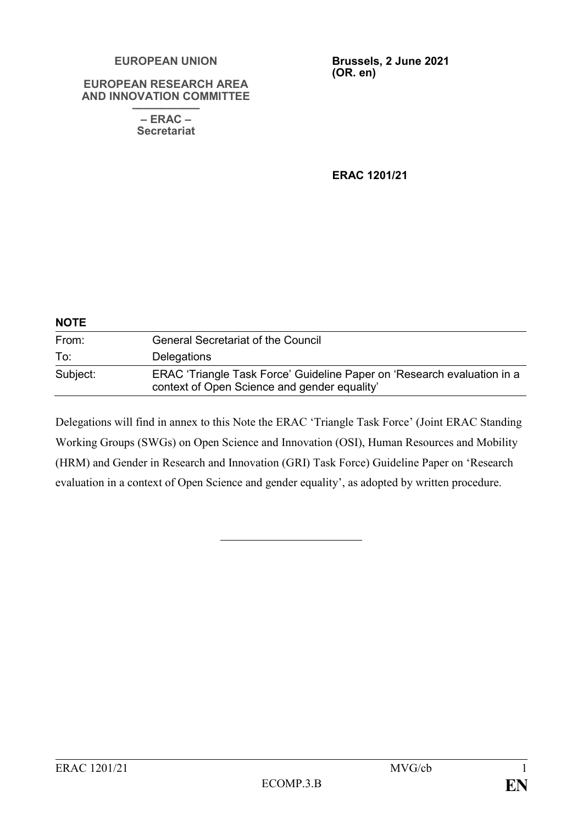#### **EUROPEAN UNION**

#### **EUROPEAN RESEARCH AREA AND INNOVATION COMMITTEE**

**—————— – ERAC – Secretariat**

**Brussels, 2 June 2021 (OR. en)**

**ERAC 1201/21**

| <b>NOTE</b> |                                                                                                                         |  |
|-------------|-------------------------------------------------------------------------------------------------------------------------|--|
| From:       | <b>General Secretariat of the Council</b>                                                                               |  |
| To:         | <b>Delegations</b>                                                                                                      |  |
| Subject:    | ERAC 'Triangle Task Force' Guideline Paper on 'Research evaluation in a<br>context of Open Science and gender equality' |  |

Delegations will find in annex to this Note the ERAC 'Triangle Task Force' (Joint ERAC Standing Working Groups (SWGs) on Open Science and Innovation (OSI), Human Resources and Mobility (HRM) and Gender in Research and Innovation (GRI) Task Force) Guideline Paper on 'Research evaluation in a context of Open Science and gender equality', as adopted by written procedure.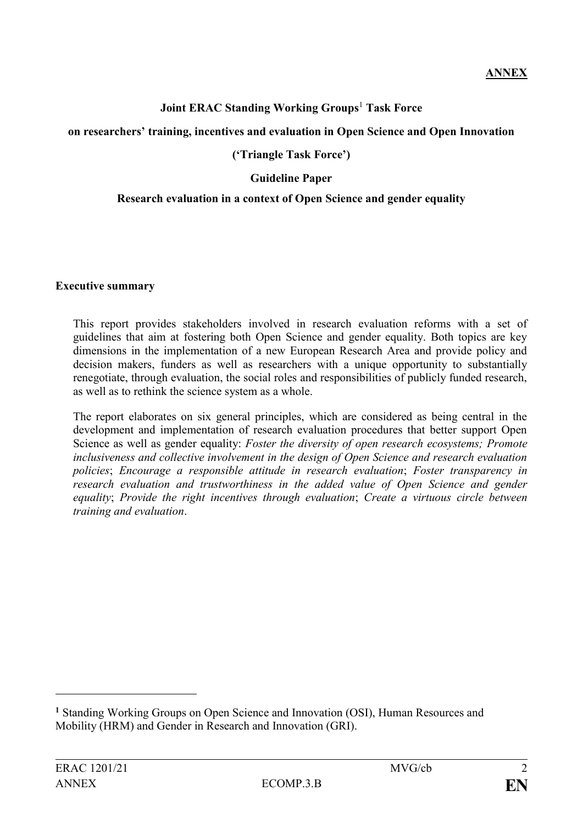## **Joint ERAC Standing Working Groups**<sup>1</sup> **Task Force**

#### **on researchers' training, incentives and evaluation in Open Science and Open Innovation**

## **('Triangle Task Force')**

### **Guideline Paper**

#### **Research evaluation in a context of Open Science and gender equality**

#### **Executive summary**

This report provides stakeholders involved in research evaluation reforms with a set of guidelines that aim at fostering both Open Science and gender equality. Both topics are key dimensions in the implementation of a new European Research Area and provide policy and decision makers, funders as well as researchers with a unique opportunity to substantially renegotiate, through evaluation, the social roles and responsibilities of publicly funded research, as well as to rethink the science system as a whole.

The report elaborates on six general principles, which are considered as being central in the development and implementation of research evaluation procedures that better support Open Science as well as gender equality: *Foster the diversity of open research ecosystems; Promote inclusiveness and collective involvement in the design of Open Science and research evaluation policies*; *Encourage a responsible attitude in research evaluation*; *Foster transparency in research evaluation and trustworthiness in the added value of Open Science and gender equality*; *Provide the right incentives through evaluation*; *Create a virtuous circle between training and evaluation*.

<u>.</u>

**<sup>1</sup>** Standing Working Groups on Open Science and Innovation (OSI), Human Resources and Mobility (HRM) and Gender in Research and Innovation (GRI).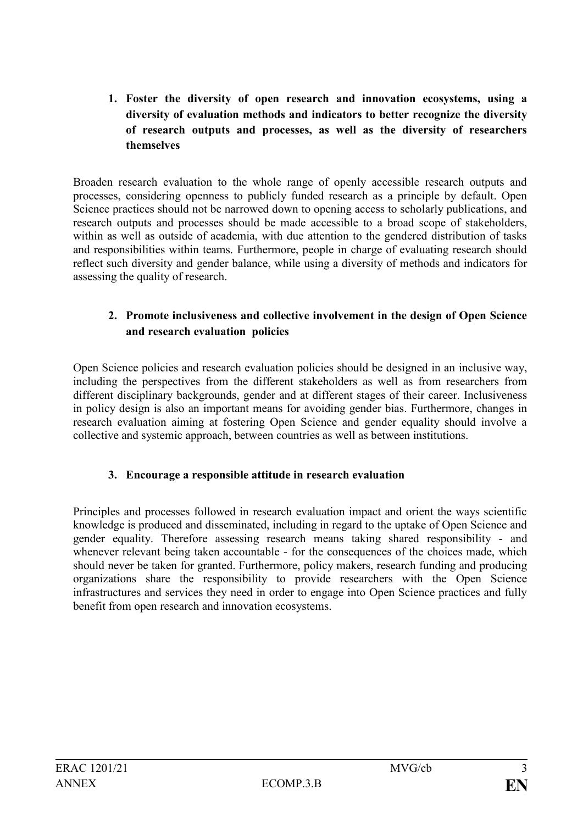**1. Foster the diversity of open research and innovation ecosystems, using a diversity of evaluation methods and indicators to better recognize the diversity of research outputs and processes, as well as the diversity of researchers themselves**

Broaden research evaluation to the whole range of openly accessible research outputs and processes, considering openness to publicly funded research as a principle by default. Open Science practices should not be narrowed down to opening access to scholarly publications, and research outputs and processes should be made accessible to a broad scope of stakeholders, within as well as outside of academia, with due attention to the gendered distribution of tasks and responsibilities within teams. Furthermore, people in charge of evaluating research should reflect such diversity and gender balance, while using a diversity of methods and indicators for assessing the quality of research.

## **2. Promote inclusiveness and collective involvement in the design of Open Science and research evaluation policies**

Open Science policies and research evaluation policies should be designed in an inclusive way, including the perspectives from the different stakeholders as well as from researchers from different disciplinary backgrounds, gender and at different stages of their career. Inclusiveness in policy design is also an important means for avoiding gender bias. Furthermore, changes in research evaluation aiming at fostering Open Science and gender equality should involve a collective and systemic approach, between countries as well as between institutions.

## **3. Encourage a responsible attitude in research evaluation**

Principles and processes followed in research evaluation impact and orient the ways scientific knowledge is produced and disseminated, including in regard to the uptake of Open Science and gender equality. Therefore assessing research means taking shared responsibility - and whenever relevant being taken accountable - for the consequences of the choices made, which should never be taken for granted. Furthermore, policy makers, research funding and producing organizations share the responsibility to provide researchers with the Open Science infrastructures and services they need in order to engage into Open Science practices and fully benefit from open research and innovation ecosystems.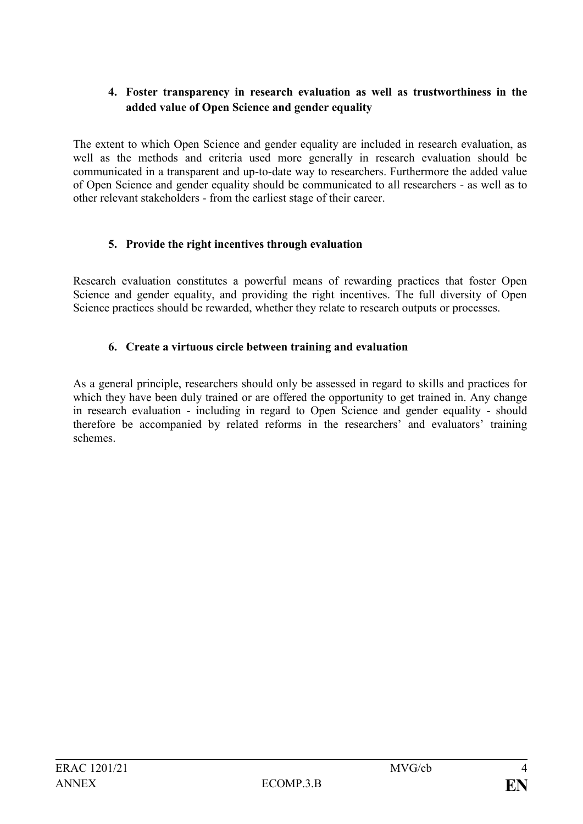## **4. Foster transparency in research evaluation as well as trustworthiness in the added value of Open Science and gender equality**

The extent to which Open Science and gender equality are included in research evaluation, as well as the methods and criteria used more generally in research evaluation should be communicated in a transparent and up-to-date way to researchers. Furthermore the added value of Open Science and gender equality should be communicated to all researchers - as well as to other relevant stakeholders - from the earliest stage of their career.

## **5. Provide the right incentives through evaluation**

Research evaluation constitutes a powerful means of rewarding practices that foster Open Science and gender equality, and providing the right incentives. The full diversity of Open Science practices should be rewarded, whether they relate to research outputs or processes.

## **6. Create a virtuous circle between training and evaluation**

As a general principle, researchers should only be assessed in regard to skills and practices for which they have been duly trained or are offered the opportunity to get trained in. Any change in research evaluation - including in regard to Open Science and gender equality - should therefore be accompanied by related reforms in the researchers' and evaluators' training schemes.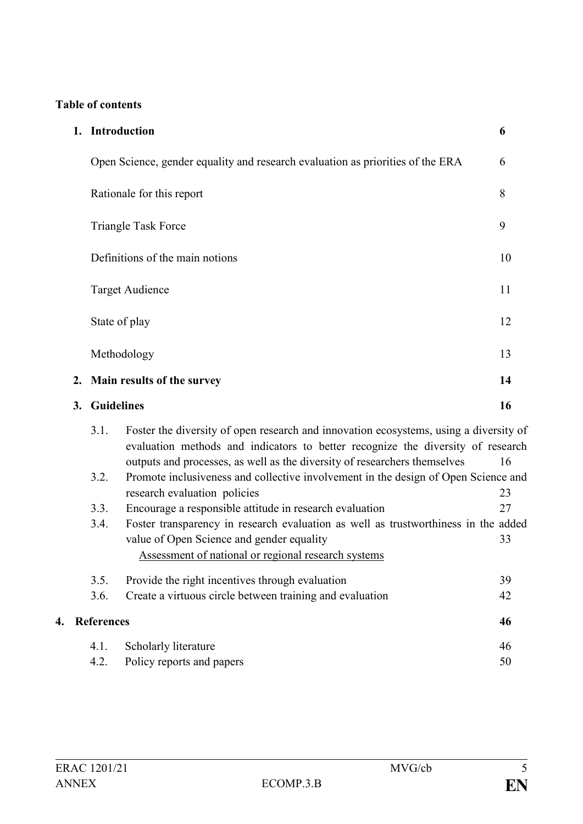# **Table of contents**

|                         |  | 1. Introduction            |                                                                                                                                                                                                                                                                                                                                             | 6        |  |  |
|-------------------------|--|----------------------------|---------------------------------------------------------------------------------------------------------------------------------------------------------------------------------------------------------------------------------------------------------------------------------------------------------------------------------------------|----------|--|--|
|                         |  |                            | Open Science, gender equality and research evaluation as priorities of the ERA                                                                                                                                                                                                                                                              | 6        |  |  |
|                         |  |                            | Rationale for this report                                                                                                                                                                                                                                                                                                                   | 8        |  |  |
|                         |  | <b>Triangle Task Force</b> |                                                                                                                                                                                                                                                                                                                                             |          |  |  |
|                         |  |                            | Definitions of the main notions                                                                                                                                                                                                                                                                                                             | 10       |  |  |
|                         |  | <b>Target Audience</b>     |                                                                                                                                                                                                                                                                                                                                             | 11       |  |  |
| State of play           |  |                            | 12                                                                                                                                                                                                                                                                                                                                          |          |  |  |
| Methodology             |  |                            |                                                                                                                                                                                                                                                                                                                                             | 13       |  |  |
| 2.                      |  |                            | Main results of the survey                                                                                                                                                                                                                                                                                                                  |          |  |  |
| <b>Guidelines</b><br>3. |  |                            | 16                                                                                                                                                                                                                                                                                                                                          |          |  |  |
|                         |  |                            |                                                                                                                                                                                                                                                                                                                                             |          |  |  |
|                         |  | 3.1.<br>3.2.               | Foster the diversity of open research and innovation ecosystems, using a diversity of<br>evaluation methods and indicators to better recognize the diversity of research<br>outputs and processes, as well as the diversity of researchers themselves<br>Promote inclusiveness and collective involvement in the design of Open Science and | 16       |  |  |
|                         |  | 3.3.                       | research evaluation policies                                                                                                                                                                                                                                                                                                                | 23<br>27 |  |  |
|                         |  | 3.4.                       | Encourage a responsible attitude in research evaluation<br>Foster transparency in research evaluation as well as trustworthiness in the added<br>value of Open Science and gender equality<br>Assessment of national or regional research systems                                                                                           | 33       |  |  |
|                         |  | 3.5.                       |                                                                                                                                                                                                                                                                                                                                             | 39       |  |  |
|                         |  | 3.6.                       | Provide the right incentives through evaluation<br>Create a virtuous circle between training and evaluation                                                                                                                                                                                                                                 | 42       |  |  |
| 4.                      |  | <b>References</b>          |                                                                                                                                                                                                                                                                                                                                             | 46       |  |  |
|                         |  | 4.1.                       | Scholarly literature                                                                                                                                                                                                                                                                                                                        | 46       |  |  |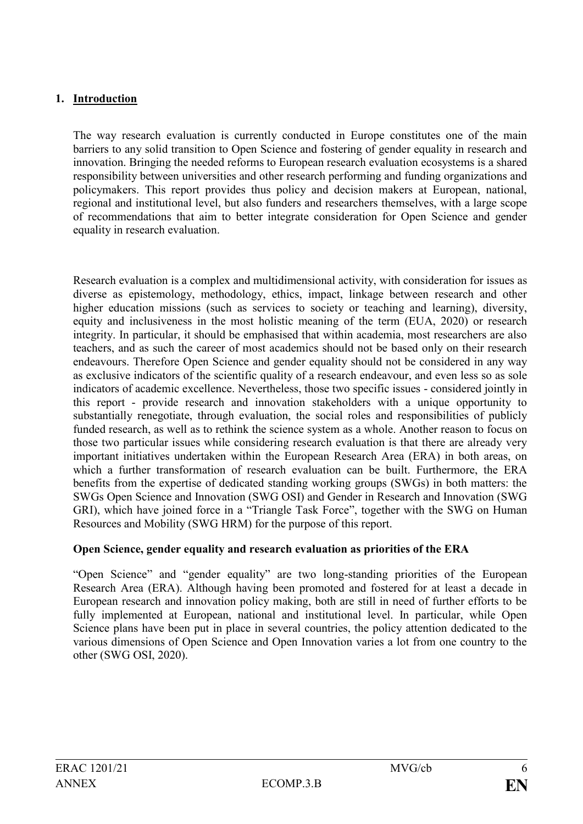## **1. Introduction**

The way research evaluation is currently conducted in Europe constitutes one of the main barriers to any solid transition to Open Science and fostering of gender equality in research and innovation. Bringing the needed reforms to European research evaluation ecosystems is a shared responsibility between universities and other research performing and funding organizations and policymakers. This report provides thus policy and decision makers at European, national, regional and institutional level, but also funders and researchers themselves, with a large scope of recommendations that aim to better integrate consideration for Open Science and gender equality in research evaluation.

Research evaluation is a complex and multidimensional activity, with consideration for issues as diverse as epistemology, methodology, ethics, impact, linkage between research and other higher education missions (such as services to society or teaching and learning), diversity, equity and inclusiveness in the most holistic meaning of the term (EUA, 2020) or research integrity. In particular, it should be emphasised that within academia, most researchers are also teachers, and as such the career of most academics should not be based only on their research endeavours. Therefore Open Science and gender equality should not be considered in any way as exclusive indicators of the scientific quality of a research endeavour, and even less so as sole indicators of academic excellence. Nevertheless, those two specific issues - considered jointly in this report - provide research and innovation stakeholders with a unique opportunity to substantially renegotiate, through evaluation, the social roles and responsibilities of publicly funded research, as well as to rethink the science system as a whole. Another reason to focus on those two particular issues while considering research evaluation is that there are already very important initiatives undertaken within the European Research Area (ERA) in both areas, on which a further transformation of research evaluation can be built. Furthermore, the ERA benefits from the expertise of dedicated standing working groups (SWGs) in both matters: the SWGs Open Science and Innovation (SWG OSI) and Gender in Research and Innovation (SWG GRI), which have joined force in a "Triangle Task Force", together with the SWG on Human Resources and Mobility (SWG HRM) for the purpose of this report.

### **Open Science, gender equality and research evaluation as priorities of the ERA**

"Open Science" and "gender equality" are two long-standing priorities of the European Research Area (ERA). Although having been promoted and fostered for at least a decade in European research and innovation policy making, both are still in need of further efforts to be fully implemented at European, national and institutional level. In particular, while Open Science plans have been put in place in several countries, the policy attention dedicated to the various dimensions of Open Science and Open Innovation varies a lot from one country to the other (SWG OSI, 2020).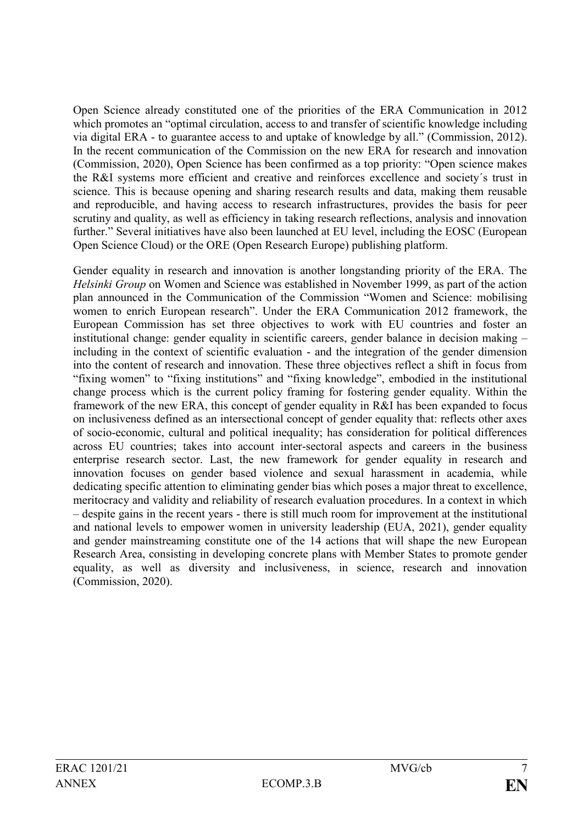Open Science already constituted one of the priorities of the ERA Communication in 2012 which promotes an "optimal circulation, access to and transfer of scientific knowledge including via digital ERA - to guarantee access to and uptake of knowledge by all." (Commission, 2012). In the recent communication of the Commission on the new ERA for research and innovation (Commission, 2020), Open Science has been confirmed as a top priority: "Open science makes the R&I systems more efficient and creative and reinforces excellence and society´s trust in science. This is because opening and sharing research results and data, making them reusable and reproducible, and having access to research infrastructures, provides the basis for peer scrutiny and quality, as well as efficiency in taking research reflections, analysis and innovation further." Several initiatives have also been launched at EU level, including the EOSC (European Open Science Cloud) or the ORE (Open Research Europe) publishing platform.

Gender equality in research and innovation is another longstanding priority of the ERA. The *Helsinki Group* on Women and Science was established in November 1999, as part of the action plan announced in the Communication of the Commission "Women and Science: mobilising women to enrich European research". Under the [ERA Communication 2012 framework,](http://ec.europa.eu/research/science-society/document_library/pdf_06/era-communication-partnership-excellence-growth_en.pdf) the European Commission has set three objectives to work with EU countries and foster an institutional change: gender equality in scientific careers, gender balance in decision making – including in the context of scientific evaluation - and the integration of the gender dimension into the content of research and innovation. These three objectives reflect a shift in focus from "fixing women" to "fixing institutions" and "fixing knowledge", embodied in the institutional change process which is the current policy framing for fostering gender equality. Within the framework of the new ERA, this concept of gender equality in R&I has been expanded to focus on inclusiveness defined as an intersectional concept of gender equality that: reflects other axes of socio-economic, cultural and political inequality; has consideration for political differences across EU countries; takes into account inter-sectoral aspects and careers in the business enterprise research sector. Last, the new framework for gender equality in research and innovation focuses on gender based violence and sexual harassment in academia, while dedicating specific attention to eliminating gender bias which poses a major threat to excellence, meritocracy and validity and reliability of research evaluation procedures. In a context in which – despite gains in the recent years - there is still much room for improvement at the institutional and national levels to empower women in university leadership (EUA, 2021), gender equality and gender mainstreaming constitute one of the 14 actions that will shape the new European Research Area, consisting in developing concrete plans with Member States to promote gender equality, as well as diversity and inclusiveness, in science, research and innovation (Commission, 2020).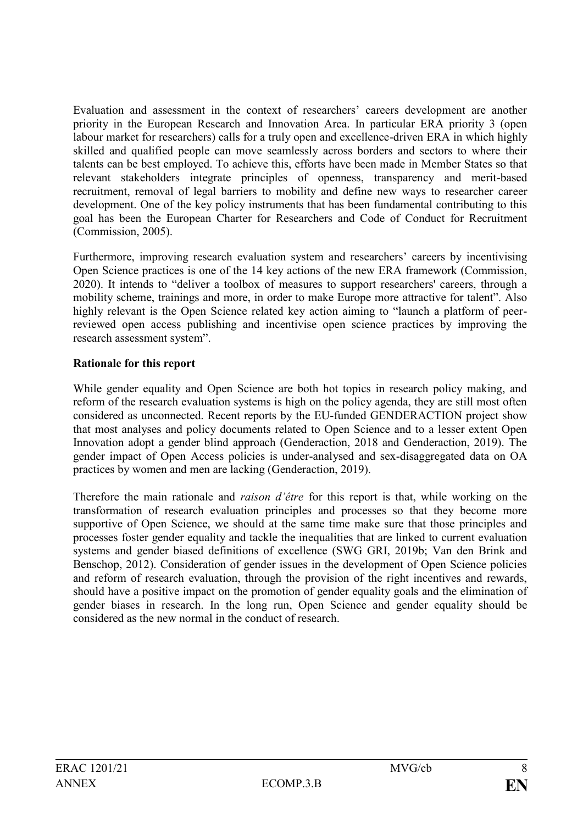Evaluation and assessment in the context of researchers' careers development are another priority in the European Research and Innovation Area. In particular ERA priority 3 (open labour market for researchers) calls for a truly open and excellence-driven ERA in which highly skilled and qualified people can move seamlessly across borders and sectors to where their talents can be best employed. To achieve this, efforts have been made in Member States so that relevant stakeholders integrate principles of openness, transparency and merit-based recruitment, removal of legal barriers to mobility and define new ways to researcher career development. One of the key policy instruments that has been fundamental contributing to this goal has been the European Charter for Researchers and Code of Conduct for Recruitment (Commission, 2005).

Furthermore, improving research evaluation system and researchers' careers by incentivising Open Science practices is one of the 14 key actions of the new ERA framework (Commission, 2020). It intends to "deliver a toolbox of measures to support researchers' careers, through a mobility scheme, trainings and more, in order to make Europe more attractive for talent". Also highly relevant is the Open Science related key action aiming to "launch a platform of peerreviewed open access publishing and incentivise open science practices by improving the research assessment system".

### **Rationale for this report**

While gender equality and Open Science are both hot topics in research policy making, and reform of the research evaluation systems is high on the policy agenda, they are still most often considered as unconnected. Recent reports by the EU-funded GENDERACTION project show that most analyses and policy documents related to Open Science and to a lesser extent Open Innovation adopt a gender blind approach (Genderaction, 2018 and Genderaction, 2019). The gender impact of Open Access policies is under-analysed and sex-disaggregated data on OA practices by women and men are lacking (Genderaction, 2019).

Therefore the main rationale and *raison d'être* for this report is that, while working on the transformation of research evaluation principles and processes so that they become more supportive of Open Science, we should at the same time make sure that those principles and processes foster gender equality and tackle the inequalities that are linked to current evaluation systems and gender biased definitions of excellence (SWG GRI, 2019b; Van den Brink and Benschop, 2012). Consideration of gender issues in the development of Open Science policies and reform of research evaluation, through the provision of the right incentives and rewards, should have a positive impact on the promotion of gender equality goals and the elimination of gender biases in research. In the long run, Open Science and gender equality should be considered as the new normal in the conduct of research.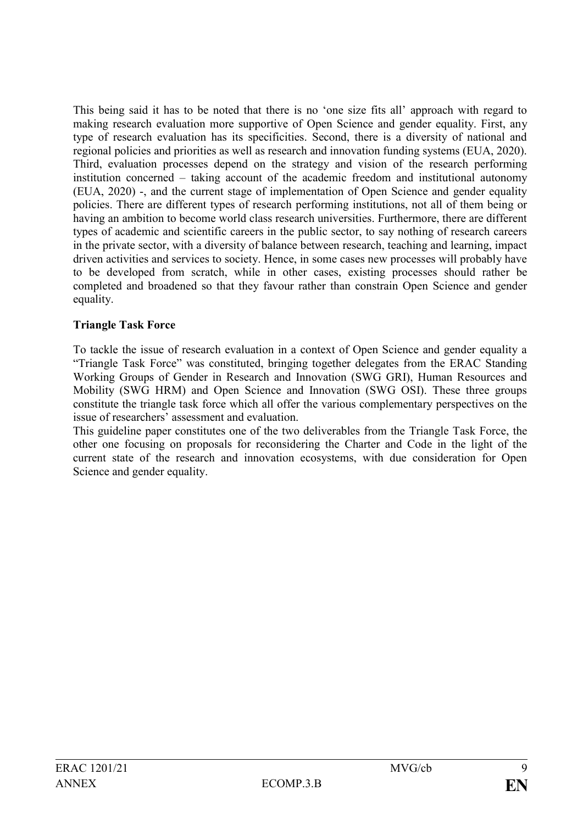This being said it has to be noted that there is no 'one size fits all' approach with regard to making research evaluation more supportive of Open Science and gender equality. First, any type of research evaluation has its specificities. Second, there is a diversity of national and regional policies and priorities as well as research and innovation funding systems (EUA, 2020). Third, evaluation processes depend on the strategy and vision of the research performing institution concerned – taking account of the academic freedom and institutional autonomy (EUA, 2020) -, and the current stage of implementation of Open Science and gender equality policies. There are different types of research performing institutions, not all of them being or having an ambition to become world class research universities. Furthermore, there are different types of academic and scientific careers in the public sector, to say nothing of research careers in the private sector, with a diversity of balance between research, teaching and learning, impact driven activities and services to society. Hence, in some cases new processes will probably have to be developed from scratch, while in other cases, existing processes should rather be completed and broadened so that they favour rather than constrain Open Science and gender equality.

## **Triangle Task Force**

To tackle the issue of research evaluation in a context of Open Science and gender equality a "Triangle Task Force" was constituted, bringing together delegates from the ERAC Standing Working Groups of Gender in Research and Innovation (SWG GRI), Human Resources and Mobility (SWG HRM) and Open Science and Innovation (SWG OSI). These three groups constitute the triangle task force which all offer the various complementary perspectives on the issue of researchers' assessment and evaluation.

This guideline paper constitutes one of the two deliverables from the Triangle Task Force, the other one focusing on proposals for reconsidering the Charter and Code in the light of the current state of the research and innovation ecosystems, with due consideration for Open Science and gender equality.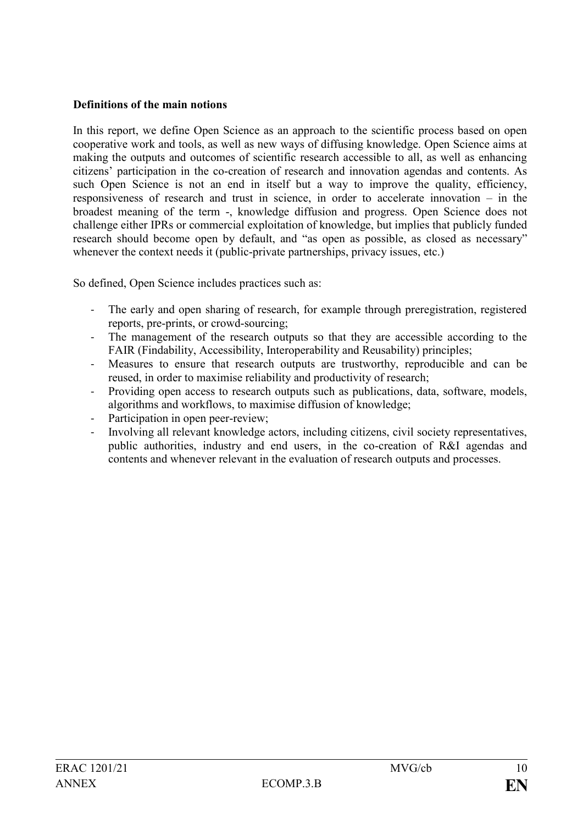#### **Definitions of the main notions**

In this report, we define Open Science as an approach to the scientific process based on open cooperative work and tools, as well as new ways of diffusing knowledge. Open Science aims at making the outputs and outcomes of scientific research accessible to all, as well as enhancing citizens' participation in the co-creation of research and innovation agendas and contents. As such Open Science is not an end in itself but a way to improve the quality, efficiency, responsiveness of research and trust in science, in order to accelerate innovation – in the broadest meaning of the term -, knowledge diffusion and progress. Open Science does not challenge either IPRs or commercial exploitation of knowledge, but implies that publicly funded research should become open by default, and "as open as possible, as closed as necessary" whenever the context needs it (public-private partnerships, privacy issues, etc.)

So defined, Open Science includes practices such as:

- The early and open sharing of research, for example through preregistration, registered reports, pre-prints, or crowd-sourcing;
- The management of the research outputs so that they are accessible according to the FAIR (Findability, Accessibility, Interoperability and Reusability) principles;
- Measures to ensure that research outputs are trustworthy, reproducible and can be reused, in order to maximise reliability and productivity of research;
- Providing open access to research outputs such as publications, data, software, models, algorithms and workflows, to maximise diffusion of knowledge;
- Participation in open peer-review;
- Involving all relevant knowledge actors, including citizens, civil society representatives, public authorities, industry and end users, in the co-creation of R&I agendas and contents and whenever relevant in the evaluation of research outputs and processes.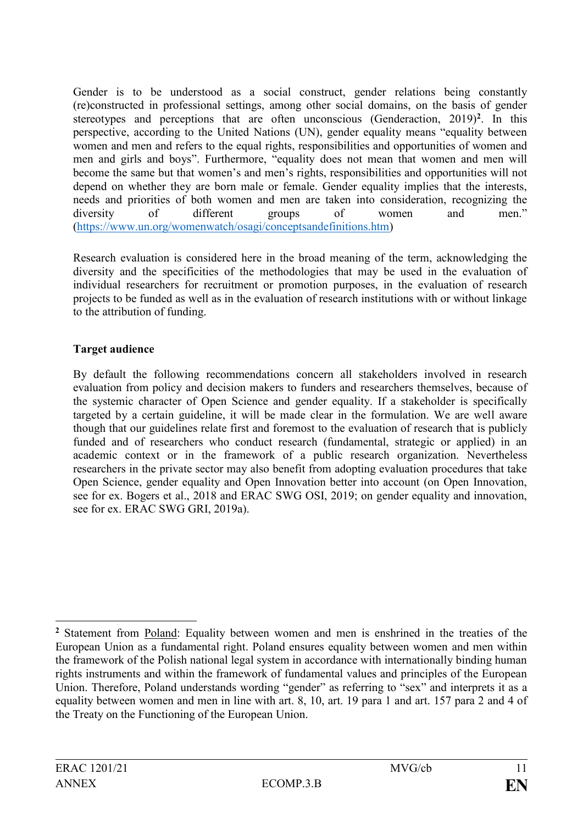Gender is to be understood as a social construct, gender relations being constantly (re)constructed in professional settings, among other social domains, on the basis of gender stereotypes and perceptions that are often unconscious (Genderaction, 2019)**<sup>2</sup>** . In this perspective, according to the United Nations (UN), gender equality means "equality between women and men and refers to the equal rights, responsibilities and opportunities of women and men and girls and boys". Furthermore, "equality does not mean that women and men will become the same but that women's and men's rights, responsibilities and opportunities will not depend on whether they are born male or female. Gender equality implies that the interests, needs and priorities of both women and men are taken into consideration, recognizing the diversity of different groups of women and men." [\(https://www.un.org/womenwatch/osagi/conceptsandefinitions.htm\)](https://www.un.org/womenwatch/osagi/conceptsandefinitions.htm)

Research evaluation is considered here in the broad meaning of the term, acknowledging the diversity and the specificities of the methodologies that may be used in the evaluation of individual researchers for recruitment or promotion purposes, in the evaluation of research projects to be funded as well as in the evaluation of research institutions with or without linkage to the attribution of funding.

## **Target audience**

By default the following recommendations concern all stakeholders involved in research evaluation from policy and decision makers to funders and researchers themselves, because of the systemic character of Open Science and gender equality. If a stakeholder is specifically targeted by a certain guideline, it will be made clear in the formulation. We are well aware though that our guidelines relate first and foremost to the evaluation of research that is publicly funded and of researchers who conduct research (fundamental, strategic or applied) in an academic context or in the framework of a public research organization. Nevertheless researchers in the private sector may also benefit from adopting evaluation procedures that take Open Science, gender equality and Open Innovation better into account (on Open Innovation, see for ex. Bogers et al., 2018 and ERAC SWG OSI, 2019; on gender equality and innovation, see for ex. ERAC SWG GRI, 2019a).

<sup>&</sup>lt;u>.</u> **<sup>2</sup>** Statement from Poland: Equality between women and men is enshrined in the treaties of the European Union as a fundamental right. Poland ensures equality between women and men within the framework of the Polish national legal system in accordance with internationally binding human rights instruments and within the framework of fundamental values and principles of the European Union. Therefore, Poland understands wording "gender" as referring to "sex" and interprets it as a equality between women and men in line with art. 8, 10, art. 19 para 1 and art. 157 para 2 and 4 of the Treaty on the Functioning of the European Union.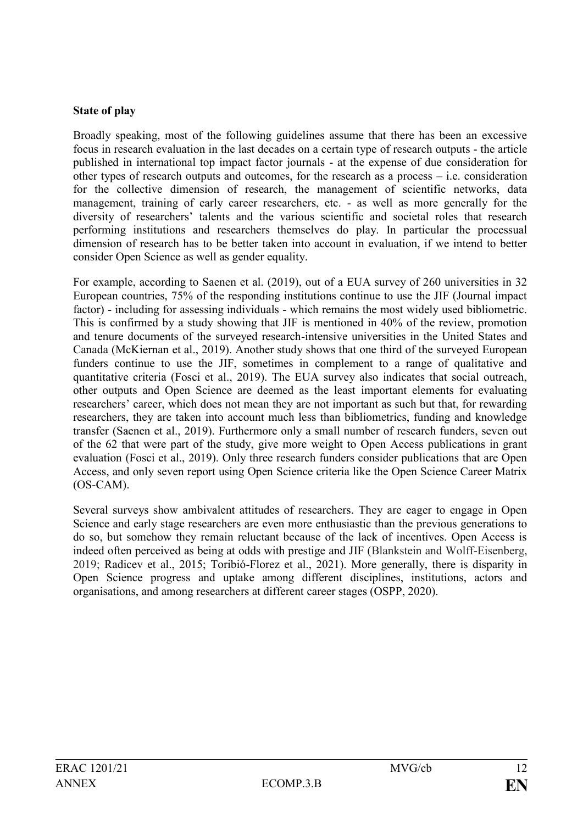### **State of play**

Broadly speaking, most of the following guidelines assume that there has been an excessive focus in research evaluation in the last decades on a certain type of research outputs - the article published in international top impact factor journals - at the expense of due consideration for other types of research outputs and outcomes, for the research as a process – i.e. consideration for the collective dimension of research, the management of scientific networks, data management, training of early career researchers, etc. - as well as more generally for the diversity of researchers' talents and the various scientific and societal roles that research performing institutions and researchers themselves do play. In particular the processual dimension of research has to be better taken into account in evaluation, if we intend to better consider Open Science as well as gender equality.

For example, according to Saenen et al. (2019), out of a EUA survey of 260 universities in 32 European countries, 75% of the responding institutions continue to use the JIF (Journal impact factor) - including for assessing individuals - which remains the most widely used bibliometric. This is confirmed by a study showing that JIF is mentioned in 40% of the review, promotion and tenure documents of the surveyed research-intensive universities in the United States and Canada (McKiernan et al., 2019). Another study shows that one third of the surveyed European funders continue to use the JIF, sometimes in complement to a range of qualitative and quantitative criteria (Fosci et al., 2019). The EUA survey also indicates that social outreach, other outputs and Open Science are deemed as the least important elements for evaluating researchers' career, which does not mean they are not important as such but that, for rewarding researchers, they are taken into account much less than bibliometrics, funding and knowledge transfer (Saenen et al., 2019). Furthermore only a small number of research funders, seven out of the 62 that were part of the study, give more weight to Open Access publications in grant evaluation (Fosci et al., 2019). Only three research funders consider publications that are Open Access, and only seven report using Open Science criteria like the Open Science Career Matrix (OS-CAM).

Several surveys show ambivalent attitudes of researchers. They are eager to engage in Open Science and early stage researchers are even more enthusiastic than the previous generations to do so, but somehow they remain reluctant because of the lack of incentives. Open Access is indeed often perceived as being at odds with prestige and JIF (Blankstein and Wolff-Eisenberg, 2019; Radicev et al., 2015; Toribió-Florez et al., 2021). More generally, there is disparity in Open Science progress and uptake among different disciplines, institutions, actors and organisations, and among researchers at different career stages (OSPP, 2020).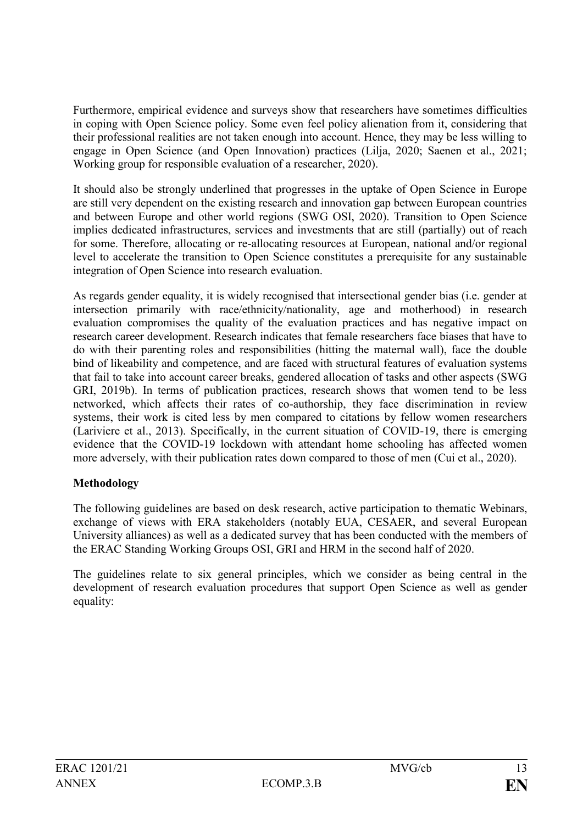Furthermore, empirical evidence and surveys show that researchers have sometimes difficulties in coping with Open Science policy. Some even feel policy alienation from it, considering that their professional realities are not taken enough into account. Hence, they may be less willing to engage in Open Science (and Open Innovation) practices (Lilja, 2020; Saenen et al., 2021; Working group for responsible evaluation of a researcher, 2020).

It should also be strongly underlined that progresses in the uptake of Open Science in Europe are still very dependent on the existing research and innovation gap between European countries and between Europe and other world regions (SWG OSI, 2020). Transition to Open Science implies dedicated infrastructures, services and investments that are still (partially) out of reach for some. Therefore, allocating or re-allocating resources at European, national and/or regional level to accelerate the transition to Open Science constitutes a prerequisite for any sustainable integration of Open Science into research evaluation.

As regards gender equality, it is widely recognised that intersectional gender bias (i.e. gender at intersection primarily with race/ethnicity/nationality, age and motherhood) in research evaluation compromises the quality of the evaluation practices and has negative impact on research career development. Research indicates that female researchers face biases that have to do with their parenting roles and responsibilities (hitting the maternal wall), face the double bind of likeability and competence, and are faced with structural features of evaluation systems that fail to take into account career breaks, gendered allocation of tasks and other aspects (SWG GRI, 2019b). In terms of publication practices, research shows that women tend to be less networked, which affects their rates of co-authorship, they face discrimination in review systems, their work is cited less by men compared to citations by fellow women researchers (Lariviere et al., 2013). Specifically, in the current situation of COVID-19, there is emerging evidence that the COVID-19 lockdown with attendant home schooling has affected women more adversely, with their publication rates down compared to those of men (Cui et al., 2020).

### **Methodology**

The following guidelines are based on desk research, active participation to thematic Webinars, exchange of views with ERA stakeholders (notably EUA, CESAER, and several European University alliances) as well as a dedicated survey that has been conducted with the members of the ERAC Standing Working Groups OSI, GRI and HRM in the second half of 2020.

The guidelines relate to six general principles, which we consider as being central in the development of research evaluation procedures that support Open Science as well as gender equality: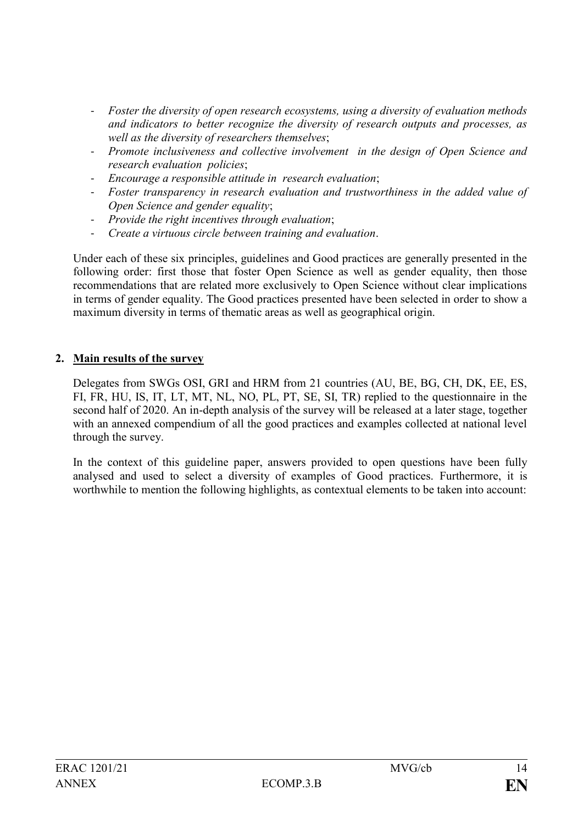- *Foster the diversity of open research ecosystems, using a diversity of evaluation methods and indicators to better recognize the diversity of research outputs and processes, as well as the diversity of researchers themselves*;
- *Promote inclusiveness and collective involvement in the design of Open Science and research evaluation policies*;
- *Encourage a responsible attitude in research evaluation*;
- *Foster transparency in research evaluation and trustworthiness in the added value of Open Science and gender equality*;
- *Provide the right incentives through evaluation*;
- *Create a virtuous circle between training and evaluation*.

Under each of these six principles, guidelines and Good practices are generally presented in the following order: first those that foster Open Science as well as gender equality, then those recommendations that are related more exclusively to Open Science without clear implications in terms of gender equality. The Good practices presented have been selected in order to show a maximum diversity in terms of thematic areas as well as geographical origin.

## **2. Main results of the survey**

Delegates from SWGs OSI, GRI and HRM from 21 countries (AU, BE, BG, CH, DK, EE, ES, FI, FR, HU, IS, IT, LT, MT, NL, NO, PL, PT, SE, SI, TR) replied to the questionnaire in the second half of 2020. An in-depth analysis of the survey will be released at a later stage, together with an annexed compendium of all the good practices and examples collected at national level through the survey.

In the context of this guideline paper, answers provided to open questions have been fully analysed and used to select a diversity of examples of Good practices. Furthermore, it is worthwhile to mention the following highlights, as contextual elements to be taken into account: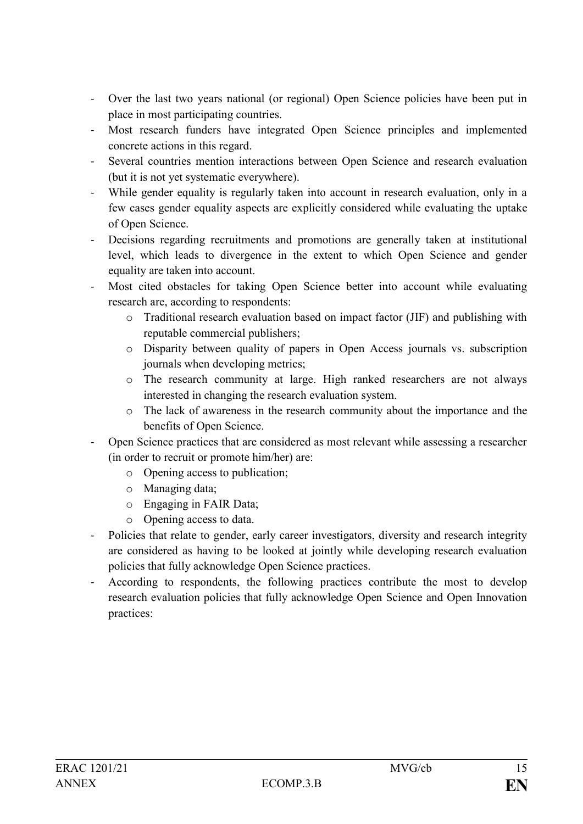- Over the last two years national (or regional) Open Science policies have been put in place in most participating countries.
- Most research funders have integrated Open Science principles and implemented concrete actions in this regard.
- Several countries mention interactions between Open Science and research evaluation (but it is not yet systematic everywhere).
- While gender equality is regularly taken into account in research evaluation, only in a few cases gender equality aspects are explicitly considered while evaluating the uptake of Open Science.
- Decisions regarding recruitments and promotions are generally taken at institutional level, which leads to divergence in the extent to which Open Science and gender equality are taken into account.
- Most cited obstacles for taking Open Science better into account while evaluating research are, according to respondents:
	- o Traditional research evaluation based on impact factor (JIF) and publishing with reputable commercial publishers;
	- o Disparity between quality of papers in Open Access journals vs. subscription journals when developing metrics;
	- o The research community at large. High ranked researchers are not always interested in changing the research evaluation system.
	- o The lack of awareness in the research community about the importance and the benefits of Open Science.
- Open Science practices that are considered as most relevant while assessing a researcher (in order to recruit or promote him/her) are:
	- o Opening access to publication;
	- o Managing data;
	- o Engaging in FAIR Data;
	- o Opening access to data.
- Policies that relate to gender, early career investigators, diversity and research integrity are considered as having to be looked at jointly while developing research evaluation policies that fully acknowledge Open Science practices.
- According to respondents, the following practices contribute the most to develop research evaluation policies that fully acknowledge Open Science and Open Innovation practices: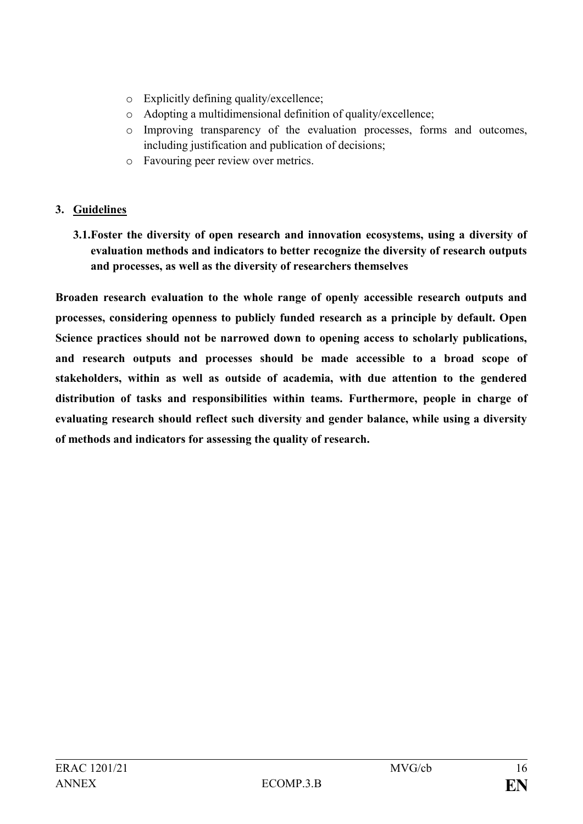- o Explicitly defining quality/excellence;
- o Adopting a multidimensional definition of quality/excellence;
- o Improving transparency of the evaluation processes, forms and outcomes, including justification and publication of decisions;
- o Favouring peer review over metrics.

# **3. Guidelines**

**3.1.Foster the diversity of open research and innovation ecosystems, using a diversity of evaluation methods and indicators to better recognize the diversity of research outputs and processes, as well as the diversity of researchers themselves** 

**Broaden research evaluation to the whole range of openly accessible research outputs and processes, considering openness to publicly funded research as a principle by default. Open Science practices should not be narrowed down to opening access to scholarly publications, and research outputs and processes should be made accessible to a broad scope of stakeholders, within as well as outside of academia, with due attention to the gendered distribution of tasks and responsibilities within teams. Furthermore, people in charge of evaluating research should reflect such diversity and gender balance, while using a diversity of methods and indicators for assessing the quality of research.**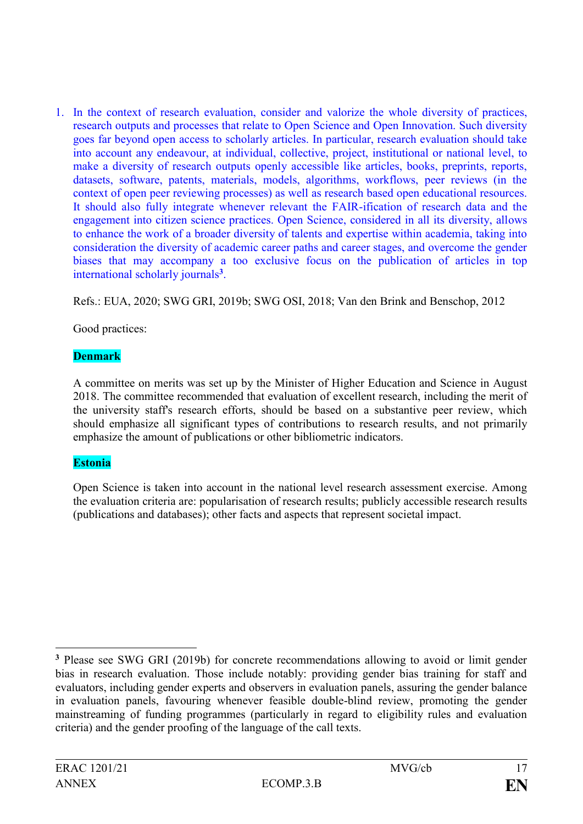1. In the context of research evaluation, consider and valorize the whole diversity of practices, research outputs and processes that relate to Open Science and Open Innovation. Such diversity goes far beyond open access to scholarly articles. In particular, research evaluation should take into account any endeavour, at individual, collective, project, institutional or national level, to make a diversity of research outputs openly accessible like articles, books, preprints, reports, datasets, software, patents, materials, models, algorithms, workflows, peer reviews (in the context of open peer reviewing processes) as well as research based open educational resources. It should also fully integrate whenever relevant the FAIR-ification of research data and the engagement into citizen science practices. Open Science, considered in all its diversity, allows to enhance the work of a broader diversity of talents and expertise within academia, taking into consideration the diversity of academic career paths and career stages, and overcome the gender biases that may accompany a too exclusive focus on the publication of articles in top international scholarly journals**<sup>3</sup>** .

Refs.: EUA, 2020; SWG GRI, 2019b; SWG OSI, 2018; Van den Brink and Benschop, 2012

Good practices:

## **Denmark**

A committee on merits was set up by the Minister of Higher Education and Science in August 2018. The committee recommended that evaluation of excellent research, including the merit of the university staff's research efforts, should be based on a substantive peer review, which should emphasize all significant types of contributions to research results, and not primarily emphasize the amount of publications or other bibliometric indicators.

## **Estonia**

Open Science is taken into account in the national level research assessment exercise. Among the evaluation criteria are: popularisation of research results; publicly accessible research results (publications and databases); other facts and aspects that represent societal impact.

1

**<sup>3</sup>** Please see SWG GRI (2019b) for concrete recommendations allowing to avoid or limit gender bias in research evaluation. Those include notably: providing gender bias training for staff and evaluators, including gender experts and observers in evaluation panels, assuring the gender balance in evaluation panels, favouring whenever feasible double-blind review, promoting the gender mainstreaming of funding programmes (particularly in regard to eligibility rules and evaluation criteria) and the gender proofing of the language of the call texts.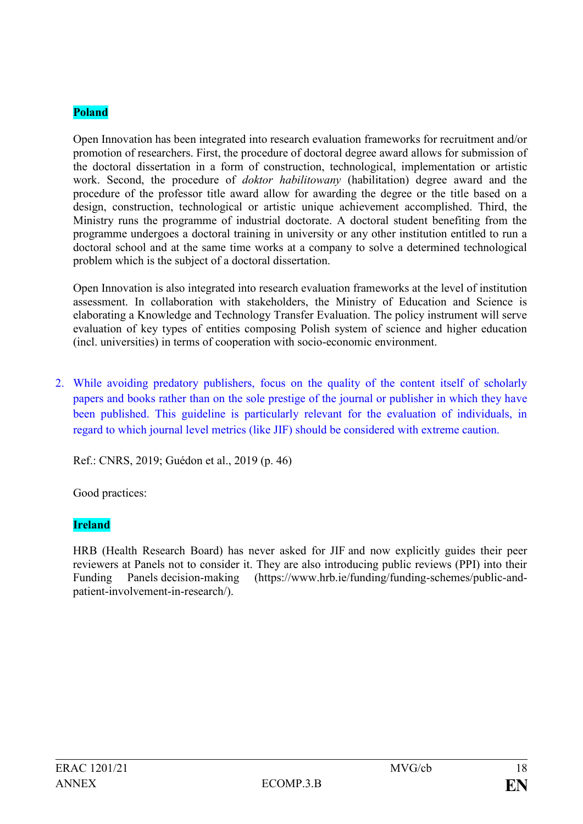## **Poland**

Open Innovation has been integrated into research evaluation frameworks for recruitment and/or promotion of researchers. First, the procedure of doctoral degree award allows for submission of the doctoral dissertation in a form of construction, technological, implementation or artistic work. Second, the procedure of *doktor habilitowany* (habilitation) degree award and the procedure of the professor title award allow for awarding the degree or the title based on a design, construction, technological or artistic unique achievement accomplished. Third, the Ministry runs the programme of industrial doctorate. A doctoral student benefiting from the programme undergoes a doctoral training in university or any other institution entitled to run a doctoral school and at the same time works at a company to solve a determined technological problem which is the subject of a doctoral dissertation.

Open Innovation is also integrated into research evaluation frameworks at the level of institution assessment. In collaboration with stakeholders, the Ministry of Education and Science is elaborating a Knowledge and Technology Transfer Evaluation. The policy instrument will serve evaluation of key types of entities composing Polish system of science and higher education (incl. universities) in terms of cooperation with socio-economic environment.

2. While avoiding predatory publishers, focus on the quality of the content itself of scholarly papers and books rather than on the sole prestige of the journal or publisher in which they have been published. This guideline is particularly relevant for the evaluation of individuals, in regard to which journal level metrics (like JIF) should be considered with extreme caution.

Ref.: CNRS, 2019; Guédon et al., 2019 (p. 46)

Good practices:

## **Ireland**

HRB (Health Research Board) has never asked for JIF and now explicitly guides their peer reviewers at Panels not to consider it. They are also introducing public reviews (PPI) into their Funding Panels decision-making [\(https://www.hrb.ie/funding/funding-schemes/public-and](https://www.hrb.ie/funding/funding-schemes/public-and-patient-involvement-in-research/)[patient-involvement-in-research/\)](https://www.hrb.ie/funding/funding-schemes/public-and-patient-involvement-in-research/).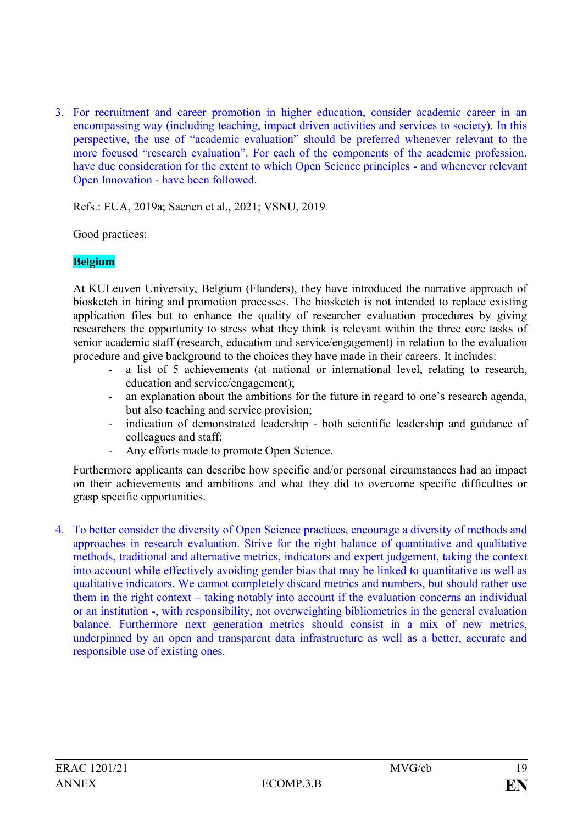3. For recruitment and career promotion in higher education, consider academic career in an encompassing way (including teaching, impact driven activities and services to society). In this perspective, the use of "academic evaluation" should be preferred whenever relevant to the more focused "research evaluation". For each of the components of the academic profession, have due consideration for the extent to which Open Science principles - and whenever relevant Open Innovation - have been followed.

Refs.: EUA, 2019a; Saenen et al., 2021; VSNU, 2019

Good practices:

### **Belgium**

At KULeuven University, Belgium (Flanders), they have introduced the narrative approach of biosketch in hiring and promotion processes. The biosketch is not intended to replace existing application files but to enhance the quality of researcher evaluation procedures by giving researchers the opportunity to stress what they think is relevant within the three core tasks of senior academic staff (research, education and service/engagement) in relation to the evaluation procedure and give background to the choices they have made in their careers. It includes:

- a list of 5 achievements (at national or international level, relating to research, education and service/engagement);
- an explanation about the ambitions for the future in regard to one's research agenda, but also teaching and service provision;
- indication of demonstrated leadership both scientific leadership and guidance of colleagues and staff;
- Any efforts made to promote Open Science.

Furthermore applicants can describe how specific and/or personal circumstances had an impact on their achievements and ambitions and what they did to overcome specific difficulties or grasp specific opportunities.

4. To better consider the diversity of Open Science practices, encourage a diversity of methods and approaches in research evaluation. Strive for the right balance of quantitative and qualitative methods, traditional and alternative metrics, indicators and expert judgement, taking the context into account while effectively avoiding gender bias that may be linked to quantitative as well as qualitative indicators. We cannot completely discard metrics and numbers, but should rather use them in the right context – taking notably into account if the evaluation concerns an individual or an institution -, with responsibility, not overweighting bibliometrics in the general evaluation balance. Furthermore next generation metrics should consist in a mix of new metrics, underpinned by an open and transparent data infrastructure as well as a better, accurate and responsible use of existing ones.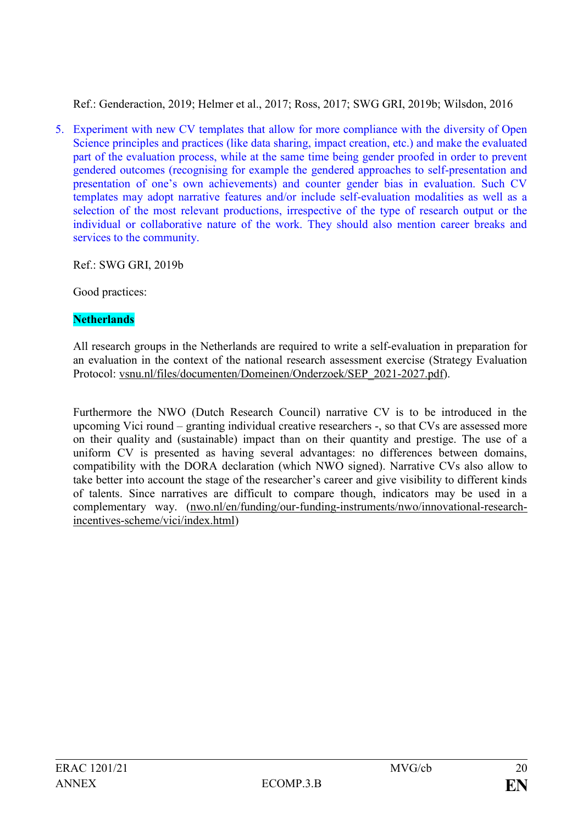Ref.: Genderaction, 2019; Helmer et al., 2017; Ross, 2017; SWG GRI, 2019b; Wilsdon, 2016

5. Experiment with new CV templates that allow for more compliance with the diversity of Open Science principles and practices (like data sharing, impact creation, etc.) and make the evaluated part of the evaluation process, while at the same time being gender proofed in order to prevent gendered outcomes (recognising for example the gendered approaches to self-presentation and presentation of one's own achievements) and counter gender bias in evaluation. Such CV templates may adopt narrative features and/or include self-evaluation modalities as well as a selection of the most relevant productions, irrespective of the type of research output or the individual or collaborative nature of the work. They should also mention career breaks and services to the community.

Ref.: SWG GRI, 2019b

Good practices:

## **Netherlands**

All research groups in the Netherlands are required to write a self-evaluation in preparation for an evaluation in the context of the national research assessment exercise (Strategy Evaluation Protocol: [vsnu.nl/files/documenten/Domeinen/Onderzoek/SEP\\_2021-2027.pdf\)](https://www.vsnu.nl/files/documenten/Domeinen/Onderzoek/SEP_2021-2027.pdf).

Furthermore the NWO (Dutch Research Council) narrative CV is to be introduced in the upcoming Vici round – granting individual creative researchers -, so that CVs are assessed more on their quality and (sustainable) impact than on their quantity and prestige. The use of a uniform CV is presented as having several advantages: no differences between domains, compatibility with the DORA declaration (which NWO signed). Narrative CVs also allow to take better into account the stage of the researcher's career and give visibility to different kinds of talents. Since narratives are difficult to compare though, indicators may be used in a complementary way. (nwo.nl/en/funding/our-funding-instruments/nwo/innovational-researchincentives-scheme/vici/index.html)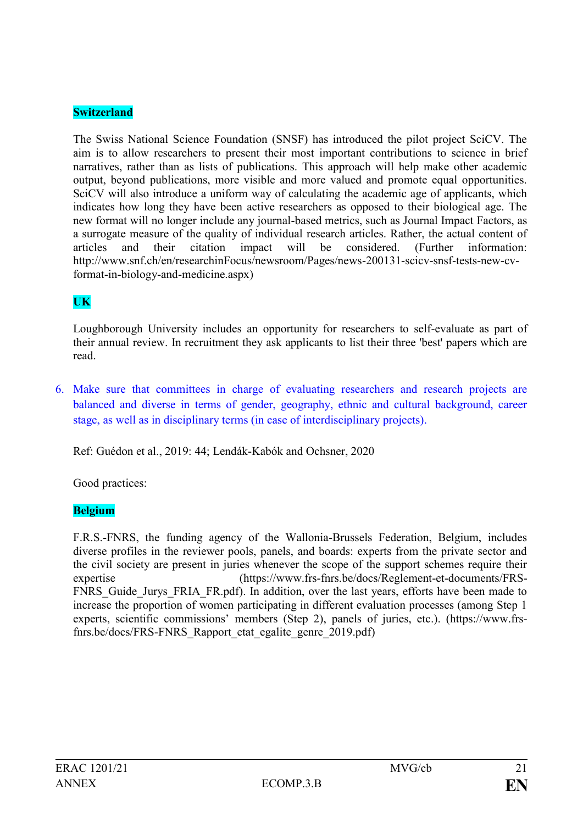### **Switzerland**

The Swiss National Science Foundation (SNSF) has introduced the pilot project SciCV. The aim is to allow researchers to present their most important contributions to science in brief narratives, rather than as lists of publications. This approach will help make other academic output, beyond publications, more visible and more valued and promote equal opportunities. SciCV will also introduce a uniform way of calculating the academic age of applicants, which indicates how long they have been active researchers as opposed to their biological age. The new format will no longer include any journal-based metrics, such as Journal Impact Factors, as a surrogate measure of the quality of individual research articles. Rather, the actual content of articles and their citation impact will be considered. (Further information: http://www.snf.ch/en/researchinFocus/newsroom/Pages/news-200131-scicv-snsf-tests-new-cvformat-in-biology-and-medicine.aspx)

## **UK**

Loughborough University includes an opportunity for researchers to self-evaluate as part of their annual review. In recruitment they ask applicants to list their three 'best' papers which are read.

6. Make sure that committees in charge of evaluating researchers and research projects are balanced and diverse in terms of gender, geography, ethnic and cultural background, career stage, as well as in disciplinary terms (in case of interdisciplinary projects).

Ref: Guédon et al., 2019: 44; Lendák-Kabók and Ochsner, 2020

Good practices:

### **Belgium**

F.R.S.-FNRS, the funding agency of the Wallonia-Brussels Federation, Belgium, includes diverse profiles in the reviewer pools, panels, and boards: experts from the private sector and the civil society are present in juries whenever the scope of the support schemes require their expertise [\(https://www.frs-fnrs.be/docs/Reglement-et-documents/FRS-](https://www.frs-fnrs.be/docs/Reglement-et-documents/FRS-FNRS_Guide_Jurys_FRIA_FR.pdf)FNRS Guide Jurys FRIA FR.pdf). In addition, over the last years, efforts have been made to increase the proportion of women participating in different evaluation processes (among Step 1 experts, scientific commissions' members (Step 2), panels of juries, etc.). [\(https://www.frs](https://www.frs-fnrs.be/docs/FRS-FNRS_Rapport_etat_egalite_genre_2019.pdf)[fnrs.be/docs/FRS-FNRS\\_Rapport\\_etat\\_egalite\\_genre\\_2019.pdf\)](https://www.frs-fnrs.be/docs/FRS-FNRS_Rapport_etat_egalite_genre_2019.pdf)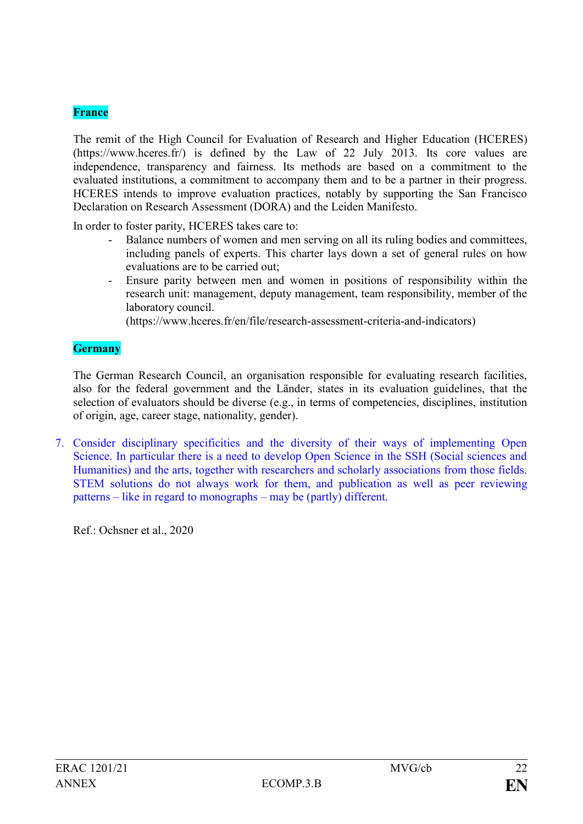### **France**

The remit of the High Council for Evaluation of Research and Higher Education (HCERES) [\(https://www.hceres.fr/\)](https://www.hceres.fr/) is defined by the Law of 22 July 2013. Its core values are independence, transparency and fairness. Its methods are based on a commitment to the evaluated institutions, a commitment to accompany them and to be a partner in their progress. HCERES intends to improve evaluation practices, notably by supporting the San Francisco Declaration on Research Assessment (DORA) and the Leiden Manifesto.

In order to foster parity, HCERES takes care to:

- Balance numbers of women and men serving on all its ruling bodies and committees, including panels of experts. This charter lays down a set of general rules on how evaluations are to be carried out;
- Ensure parity between men and women in positions of responsibility within the research unit: management, deputy management, team responsibility, member of the laboratory council.

[\(https://www.hceres.fr/en/file/research-assessment-criteria-and-indicators\)](https://www.hceres.fr/en/file/research-assessment-criteria-and-indicators)

### **Germany**

The German Research Council, an organisation responsible for evaluating research facilities, also for the federal government and the Länder, states in its evaluation guidelines, that the selection of evaluators should be diverse (e.g., in terms of competencies, disciplines, institution of origin, age, career stage, nationality, gender).

7. Consider disciplinary specificities and the diversity of their ways of implementing Open Science. In particular there is a need to develop Open Science in the SSH (Social sciences and Humanities) and the arts, together with researchers and scholarly associations from those fields. STEM solutions do not always work for them, and publication as well as peer reviewing patterns – like in regard to monographs – may be (partly) different.

Ref.: Ochsner et al., 2020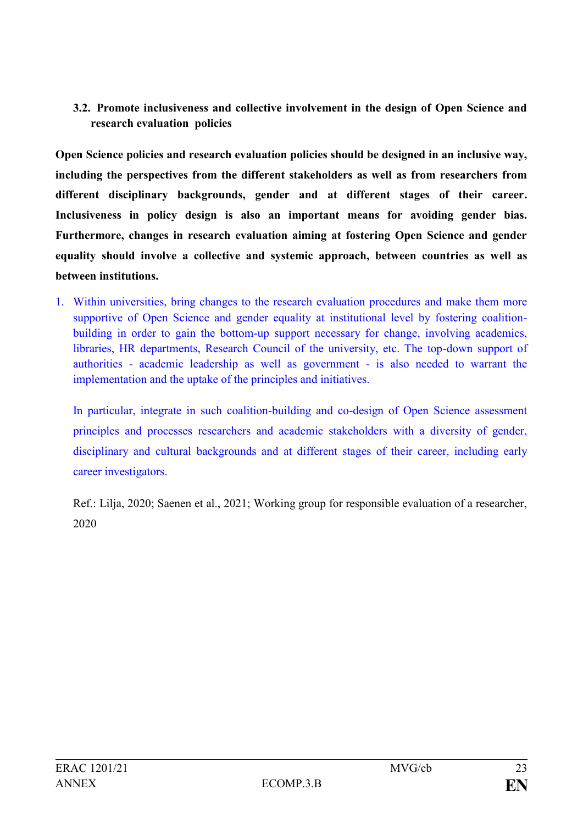## **3.2. Promote inclusiveness and collective involvement in the design of Open Science and research evaluation policies**

**Open Science policies and research evaluation policies should be designed in an inclusive way, including the perspectives from the different stakeholders as well as from researchers from different disciplinary backgrounds, gender and at different stages of their career. Inclusiveness in policy design is also an important means for avoiding gender bias. Furthermore, changes in research evaluation aiming at fostering Open Science and gender equality should involve a collective and systemic approach, between countries as well as between institutions.**

1. Within universities, bring changes to the research evaluation procedures and make them more supportive of Open Science and gender equality at institutional level by fostering coalitionbuilding in order to gain the bottom-up support necessary for change, involving academics, libraries, HR departments, Research Council of the university, etc. The top-down support of authorities - academic leadership as well as government - is also needed to warrant the implementation and the uptake of the principles and initiatives.

In particular, integrate in such coalition-building and co-design of Open Science assessment principles and processes researchers and academic stakeholders with a diversity of gender, disciplinary and cultural backgrounds and at different stages of their career, including early career investigators.

Ref.: Lilja, 2020; Saenen et al., 2021; Working group for responsible evaluation of a researcher, 2020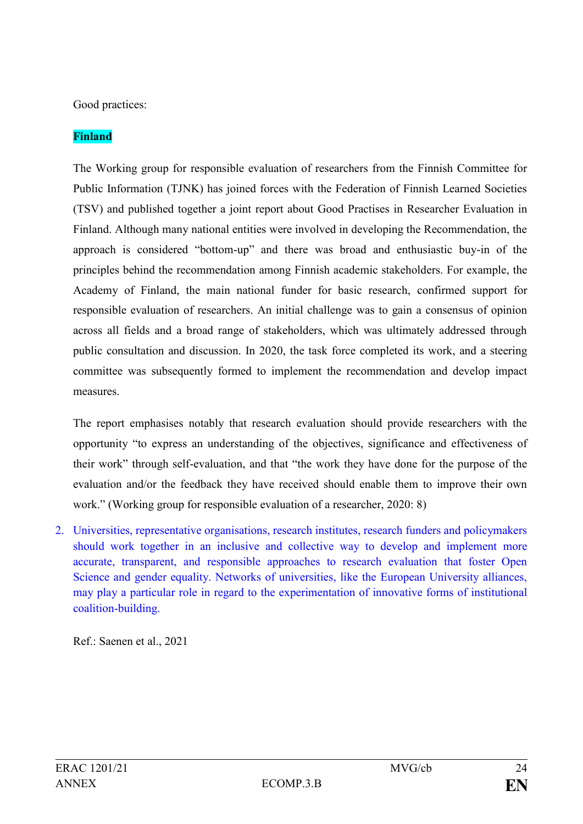Good practices:

## **Finland**

The Working group for responsible evaluation of researchers from the Finnish Committee for Public Information (TJNK) has joined forces with the Federation of Finnish Learned Societies (TSV) and published together a joint report about Good Practises in Researcher Evaluation in Finland. Although many national entities were involved in developing the Recommendation, the approach is considered "bottom-up" and there was broad and enthusiastic buy-in of the principles behind the recommendation among Finnish academic stakeholders. For example, the Academy of Finland, the main national funder for basic research, [confirmed support for](https://www.aka.fi/en/about-us/whats-new/press-releases/20202/academy-of-finland-confirms-support-for-responsible-evaluation-of-researchers/)  [responsible evaluation of researchers.](https://www.aka.fi/en/about-us/whats-new/press-releases/20202/academy-of-finland-confirms-support-for-responsible-evaluation-of-researchers/) An initial challenge was to gain a consensus of opinion across all fields and a broad range of stakeholders, which was ultimately addressed through public consultation and discussion. In 2020, the task force completed its work, and a steering committee was subsequently formed to implement the recommendation and develop impact measures.

The report emphasises notably that research evaluation should provide researchers with the opportunity "to express an understanding of the objectives, significance and effectiveness of their work" through self-evaluation, and that "the work they have done for the purpose of the evaluation and/or the feedback they have received should enable them to improve their own work." (Working group for responsible evaluation of a researcher, 2020: 8)

2. Universities, representative organisations, research institutes, research funders and policymakers should work together in an inclusive and collective way to develop and implement more accurate, transparent, and responsible approaches to research evaluation that foster Open Science and gender equality. Networks of universities, like the European University alliances, may play a particular role in regard to the experimentation of innovative forms of institutional coalition-building.

Ref.: Saenen et al., 2021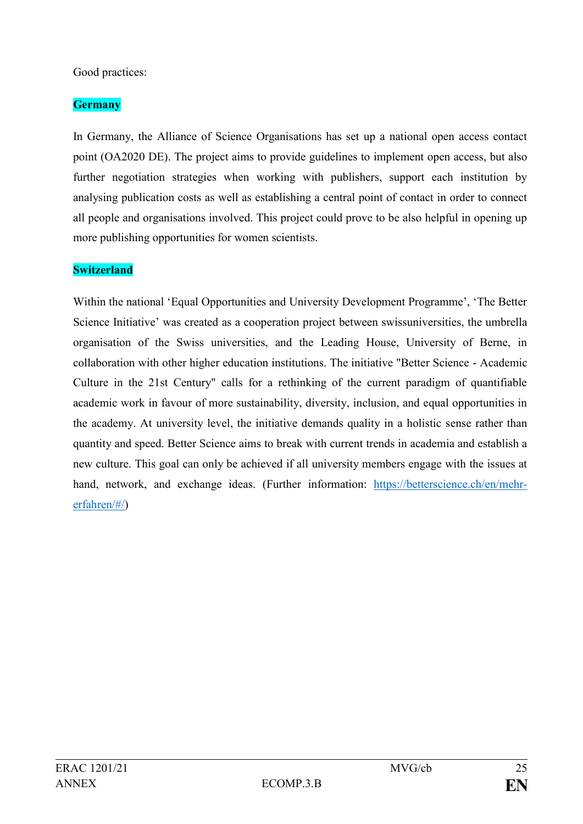### Good practices:

## **Germany**

In Germany, the Alliance of Science Organisations has set up a national open access contact point (OA2020 DE). The project aims to provide guidelines to implement open access, but also further negotiation strategies when working with publishers, support each institution by analysing publication costs as well as establishing a central point of contact in order to connect all people and organisations involved. This project could prove to be also helpful in opening up more publishing opportunities for women scientists.

## **Switzerland**

Within the national 'Equal Opportunities and University Development Programme', 'The Better Science Initiative' was created as a cooperation project between swissuniversities, the umbrella organisation of the Swiss universities, and the Leading House, University of Berne, in collaboration with other higher education institutions. The initiative "Better Science - Academic Culture in the 21st Century" calls for a rethinking of the current paradigm of quantifiable academic work in favour of more sustainability, diversity, inclusion, and equal opportunities in the academy. At university level, the initiative demands quality in a holistic sense rather than quantity and speed. Better Science aims to break with current trends in academia and establish a new culture. This goal can only be achieved if all university members engage with the issues at hand, network, and exchange ideas. (Further information: [https://betterscience.ch/en/mehr](https://betterscience.ch/en/mehr-erfahren/#/)[erfahren/#/\)](https://betterscience.ch/en/mehr-erfahren/#/)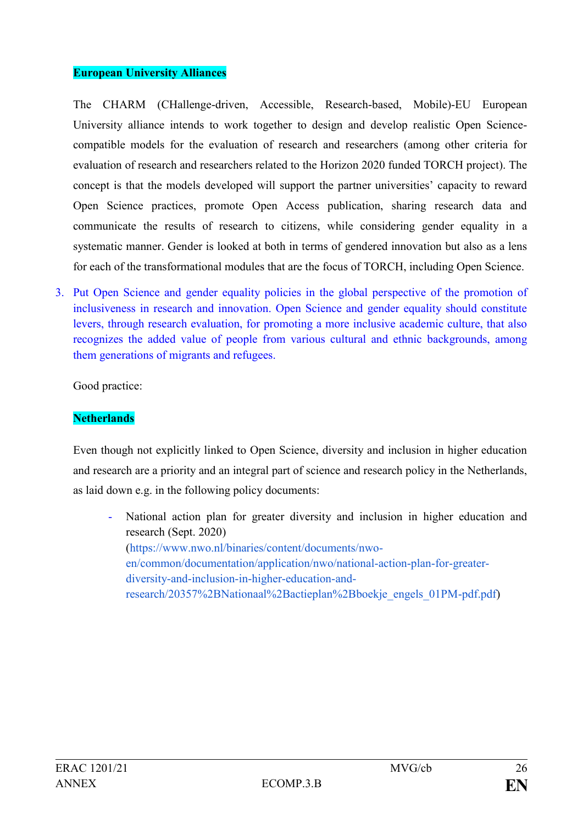#### **European University Alliances**

The CHARM (CHallenge-driven, Accessible, Research-based, Mobile)-EU European University alliance intends to work together to design and develop realistic Open Sciencecompatible models for the evaluation of research and researchers (among other criteria for evaluation of research and researchers related to the Horizon 2020 funded TORCH project). The concept is that the models developed will support the partner universities' capacity to reward Open Science practices, promote Open Access publication, sharing research data and communicate the results of research to citizens, while considering gender equality in a systematic manner. Gender is looked at both in terms of gendered innovation but also as a lens for each of the transformational modules that are the focus of TORCH, including Open Science.

3. Put Open Science and gender equality policies in the global perspective of the promotion of inclusiveness in research and innovation. Open Science and gender equality should constitute levers, through research evaluation, for promoting a more inclusive academic culture, that also recognizes the added value of people from various cultural and ethnic backgrounds, among them generations of migrants and refugees.

Good practice:

### **Netherlands**

Even though not explicitly linked to Open Science, diversity and inclusion in higher education and research are a priority and an integral part of science and research policy in the Netherlands, as laid down e.g. in the following policy documents:

National action plan for greater diversity and inclusion in higher education and [research](https://www.nwo.nl/binaries/content/documents/nwo-en/common/documentation/application/nwo/national-action-plan-for-greater-diversity-and-inclusion-in-higher-education-and-research/20357%2BNationaal%2Bactieplan%2Bboekje_engels_01PM-pdf.pdf) (Sept. 2020) (https://www.nwo.nl/binaries/content/documents/nwoen/common/documentation/application/nwo/national-action-plan-for-greaterdiversity-and-inclusion-in-higher-education-andresearch/20357%2BNationaal%2Bactieplan%2Bboekje\_engels\_01PM-pdf.pdf)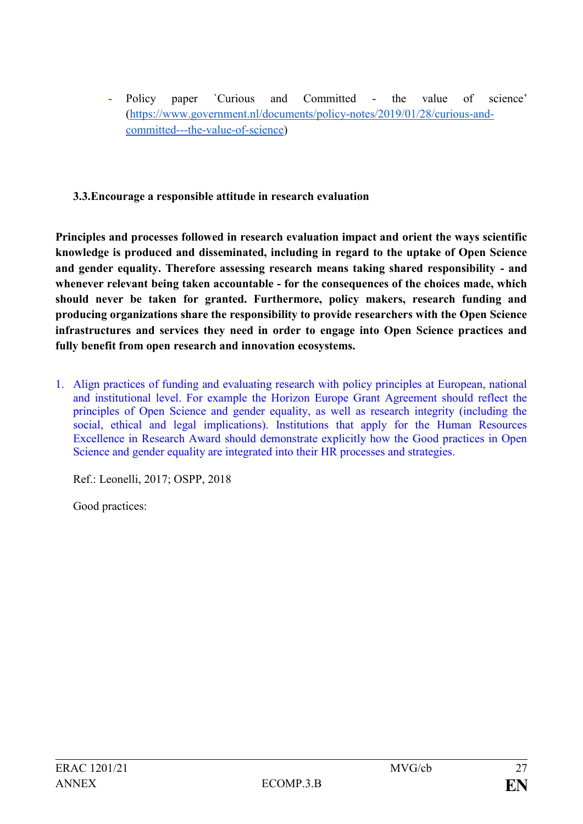Policy paper `Curious and Committed - the value of science' [\(https://www.government.nl/documents/policy-notes/2019/01/28/curious-and](https://www.government.nl/documents/policy-notes/2019/01/28/curious-and-committed---the-value-of-science)[committed---the-value-of-science\)](https://www.government.nl/documents/policy-notes/2019/01/28/curious-and-committed---the-value-of-science)

## **3.3.Encourage a responsible attitude in research evaluation**

**Principles and processes followed in research evaluation impact and orient the ways scientific knowledge is produced and disseminated, including in regard to the uptake of Open Science and gender equality. Therefore assessing research means taking shared responsibility - and whenever relevant being taken accountable - for the consequences of the choices made, which should never be taken for granted. Furthermore, policy makers, research funding and producing organizations share the responsibility to provide researchers with the Open Science infrastructures and services they need in order to engage into Open Science practices and fully benefit from open research and innovation ecosystems.**

1. Align practices of funding and evaluating research with policy principles at European, national and institutional level. For example the Horizon Europe Grant Agreement should reflect the principles of Open Science and gender equality, as well as research integrity (including the social, ethical and legal implications). Institutions that apply for the Human Resources Excellence in Research Award should demonstrate explicitly how the Good practices in Open Science and gender equality are integrated into their HR processes and strategies.

Ref.: Leonelli, 2017; OSPP, 2018

Good practices: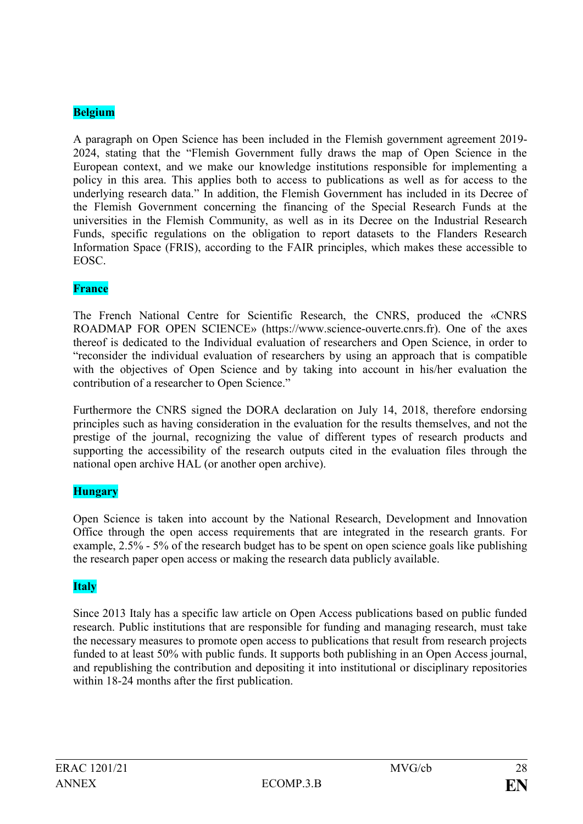### **Belgium**

A paragraph on Open Science has been included in the Flemish government agreement 2019- 2024, stating that the "Flemish Government fully draws the map of Open Science in the European context, and we make our knowledge institutions responsible for implementing a policy in this area. This applies both to access to publications as well as for access to the underlying research data." In addition, the Flemish Government has included in its Decree of the Flemish Government concerning the financing of the Special Research Funds at the universities in the Flemish Community, as well as in its Decree on the Industrial Research Funds, specific regulations on the obligation to report datasets to the Flanders Research Information Space (FRIS), according to the FAIR principles, which makes these accessible to EOSC.

### **France**

The French National Centre for Scientific Research, the CNRS, produced the «CNRS ROADMAP FOR OPEN SCIENCE» [\(https://www.science-ouverte.cnrs.fr](https://www.science-ouverte.cnrs.fr/)). One of the axes thereof is dedicated to the Individual evaluation of researchers and Open Science, in order to "reconsider the individual evaluation of researchers by using an approach that is compatible with the objectives of Open Science and by taking into account in his/her evaluation the contribution of a researcher to Open Science."

Furthermore the CNRS signed the DORA declaration on July 14, 2018, therefore endorsing principles such as having consideration in the evaluation for the results themselves, and not the prestige of the journal, recognizing the value of different types of research products and supporting the accessibility of the research outputs cited in the evaluation files through the national open archive HAL (or another open archive).

## **Hungary**

Open Science is taken into account by the National Research, Development and Innovation Office through the open access requirements that are integrated in the research grants. For example, 2.5% - 5% of the research budget has to be spent on open science goals like publishing the research paper open access or making the research data publicly available.

### **Italy**

Since 2013 Italy has a specific law article on Open Access publications based on public funded research. Public institutions that are responsible for funding and managing research, must take the necessary measures to promote open access to publications that result from research projects funded to at least 50% with public funds. It supports both publishing in an Open Access journal, and republishing the contribution and depositing it into institutional or disciplinary repositories within 18-24 months after the first publication.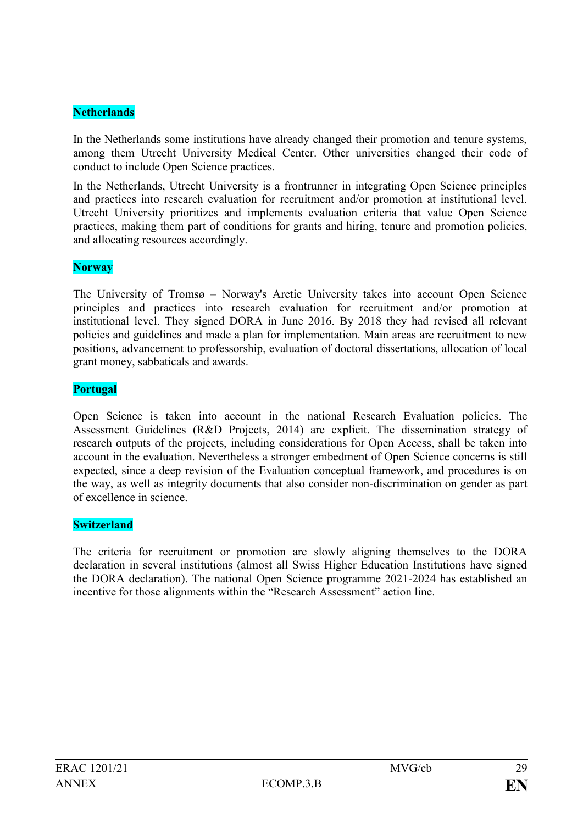### **Netherlands**

In the Netherlands some institutions have already changed their promotion and tenure systems, among them Utrecht University Medical Center. Other universities changed their code of conduct to include Open Science practices.

In the Netherlands, Utrecht University is a frontrunner in integrating Open Science principles and practices into research evaluation for recruitment and/or promotion at institutional level. Utrecht University prioritizes and implements evaluation criteria that value Open Science practices, making them part of conditions for grants and hiring, tenure and promotion policies, and allocating resources accordingly.

#### **Norway**

The University of Tromsø – Norway's Arctic University takes into account Open Science principles and practices into research evaluation for recruitment and/or promotion at institutional level. They signed DORA in June 2016. By 2018 they had revised all relevant policies and guidelines and made a plan for implementation. Main areas are recruitment to new positions, advancement to professorship, evaluation of doctoral dissertations, allocation of local grant money, sabbaticals and awards.

### **Portugal**

Open Science is taken into account in the national Research Evaluation policies. The Assessment Guidelines (R&D Projects, 2014) are explicit. The dissemination strategy of research outputs of the projects, including considerations for Open Access, shall be taken into account in the evaluation. Nevertheless a stronger embedment of Open Science concerns is still expected, since a deep revision of the Evaluation conceptual framework, and procedures is on the way, as well as integrity documents that also consider non-discrimination on gender as part of excellence in science.

#### **Switzerland**

The criteria for recruitment or promotion are slowly aligning themselves to the DORA declaration in several institutions (almost all Swiss Higher Education Institutions have signed the DORA declaration). The national Open Science programme 2021-2024 has established an incentive for those alignments within the "Research Assessment" action line.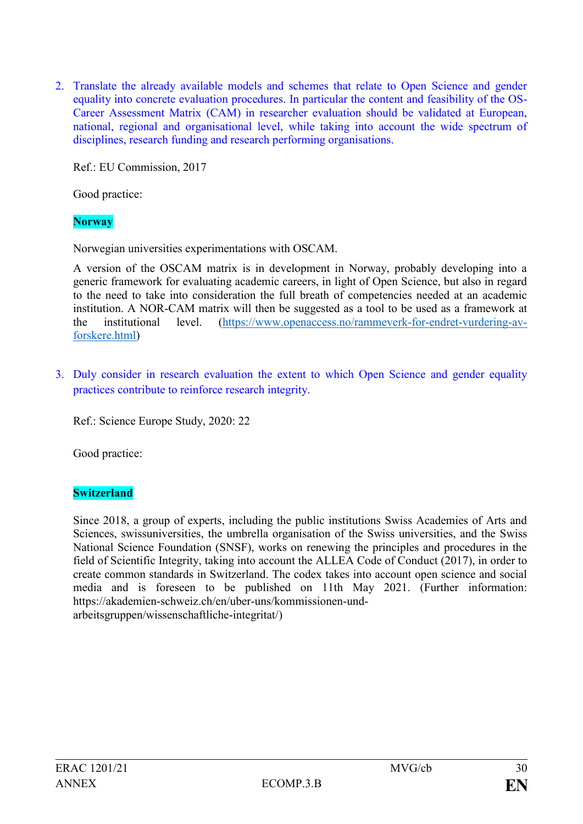2. Translate the already available models and schemes that relate to Open Science and gender equality into concrete evaluation procedures. In particular the content and feasibility of the OS-Career Assessment Matrix (CAM) in researcher evaluation should be validated at European, national, regional and organisational level, while taking into account the wide spectrum of disciplines, research funding and research performing organisations.

Ref.: EU Commission, 2017

Good practice:

**Norway**

Norwegian universities experimentations with OSCAM.

A version of the OSCAM matrix is in development in Norway, probably developing into a generic framework for evaluating academic careers, in light of Open Science, but also in regard to the need to take into consideration the full breath of competencies needed at an academic institution. A NOR-CAM matrix will then be suggested as a tool to be used as a framework at the institutional level. [\(https://www.openaccess.no/rammeverk-for-endret-vurdering-av](https://www.openaccess.no/rammeverk-for-endret-vurdering-av-forskere.html)[forskere.html\)](https://www.openaccess.no/rammeverk-for-endret-vurdering-av-forskere.html)

3. Duly consider in research evaluation the extent to which Open Science and gender equality practices contribute to reinforce research integrity.

Ref.: Science Europe Study, 2020: 22

Good practice:

### **Switzerland**

Since 2018, a group of experts, including the public institutions Swiss Academies of Arts and Sciences, swissuniversities, the umbrella organisation of the Swiss universities, and the Swiss National Science Foundation (SNSF), works on renewing the principles and procedures in the field of Scientific Integrity, taking into account the ALLEA Code of Conduct (2017), in order to create common standards in Switzerland. The codex takes into account open science and social media and is foreseen to be published on 11th May 2021. (Further information: [https://akademien-schweiz.ch/en/uber-uns/kommissionen-und](https://akademien-schweiz.ch/en/uber-uns/kommissionen-und-arbeitsgruppen/wissenschaftliche-integritat/)[arbeitsgruppen/wissenschaftliche-integritat/\)](https://akademien-schweiz.ch/en/uber-uns/kommissionen-und-arbeitsgruppen/wissenschaftliche-integritat/)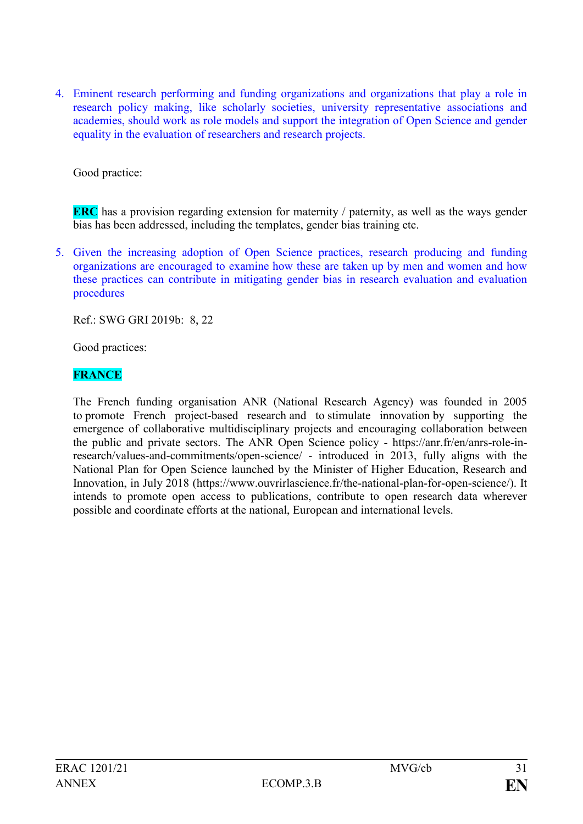4. Eminent research performing and funding organizations and organizations that play a role in research policy making, like scholarly societies, university representative associations and academies, should work as role models and support the integration of Open Science and gender equality in the evaluation of researchers and research projects.

Good practice:

**ERC** has a provision regarding extension for maternity / paternity, as well as the ways gender bias has been addressed, including the templates, gender bias training etc.

5. Given the increasing adoption of Open Science practices, research producing and funding organizations are encouraged to examine how these are taken up by men and women and how these practices can contribute in mitigating gender bias in research evaluation and evaluation procedures

Ref.: SWG GRI 2019b: 8, 22

Good practices:

## **FRANCE**

The French funding organisation ANR (National Research Agency) was founded in 2005 to promote French project-based research and to stimulate innovation by supporting the emergence of collaborative multidisciplinary projects and encouraging collaboration between the public and private sectors. The ANR Open Science policy - [https://anr.fr/en/anrs-role-in](https://anr.fr/en/anrs-role-in-research/values-and-commitments/open-science/)[research/values-and-commitments/open-science/](https://anr.fr/en/anrs-role-in-research/values-and-commitments/open-science/) - introduced in 2013, fully aligns with the National Plan for Open Science launched by the Minister of Higher Education, Research and Innovation, in July 2018 [\(https://www.ouvrirlascience.fr/the-national-plan-for-open-science/\)](https://www.ouvrirlascience.fr/the-national-plan-for-open-science/). It intends to promote open access to publications, contribute to open research data wherever possible and coordinate efforts at the national, European and international levels.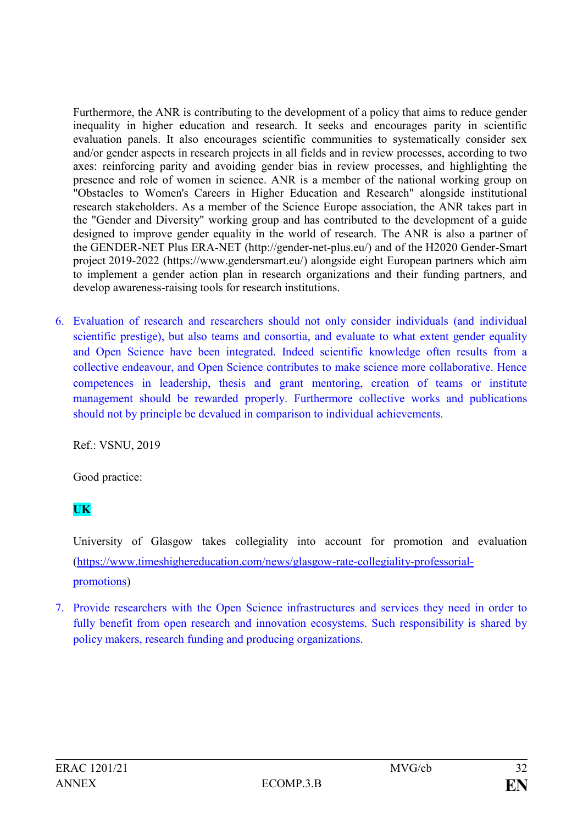Furthermore, the ANR is contributing to the development of a policy that aims to reduce gender inequality in higher education and research. It seeks and encourages parity in scientific evaluation panels. It also encourages scientific communities to systematically consider sex and/or gender aspects in research projects in all fields and in review processes, according to two axes: reinforcing parity and avoiding gender bias in review processes, and highlighting the presence and role of women in science. ANR is a member of the national working group on "Obstacles to Women's Careers in Higher Education and Research" alongside institutional research stakeholders. As a member of the Science Europe association, the ANR takes part in the "Gender and Diversity" working group and has contributed to the development of a guide designed to improve gender equality in the world of research. The ANR is also a partner of the GENDER-NET Plus ERA-NET [\(http://gender-net-plus.eu/\)](http://gender-net-plus.eu/) and of the H2020 Gender-Smart project 2019-2022 [\(https://www.gendersmart.eu/\)](https://www.gendersmart.eu/) alongside eight European partners which aim to implement a gender action plan in research organizations and their funding partners, and develop awareness-raising tools for research institutions.

6. Evaluation of research and researchers should not only consider individuals (and individual scientific prestige), but also teams and consortia, and evaluate to what extent gender equality and Open Science have been integrated. Indeed scientific knowledge often results from a collective endeavour, and Open Science contributes to make science more collaborative. Hence competences in leadership, thesis and grant mentoring, creation of teams or institute management should be rewarded properly. Furthermore collective works and publications should not by principle be devalued in comparison to individual achievements.

Ref.: VSNU, 2019

Good practice:

## **UK**

University of Glasgow takes collegiality into account for promotion and evaluation [\(https://www.timeshighereducation.com/news/glasgow-rate-collegiality-professorial](https://www.timeshighereducation.com/news/glasgow-rate-collegiality-professorial-promotions)[promotions\)](https://www.timeshighereducation.com/news/glasgow-rate-collegiality-professorial-promotions)

7. Provide researchers with the Open Science infrastructures and services they need in order to fully benefit from open research and innovation ecosystems. Such responsibility is shared by policy makers, research funding and producing organizations.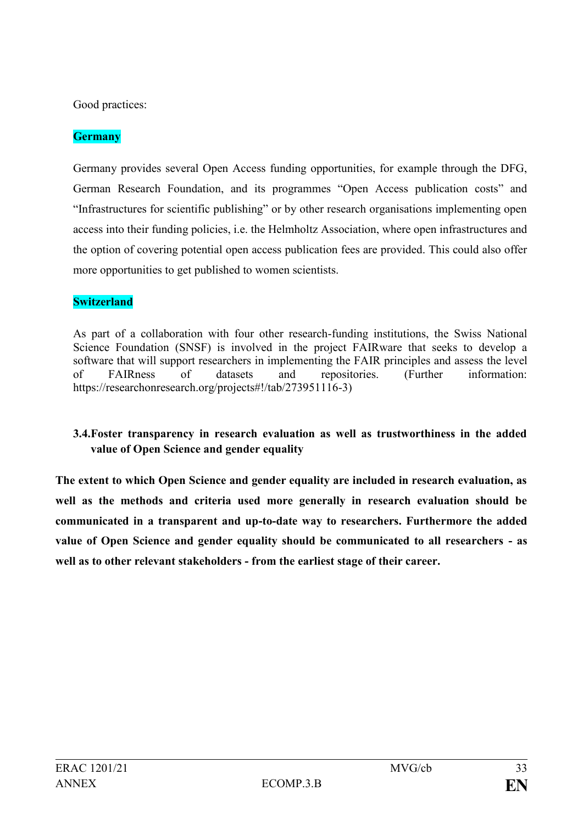Good practices:

## **Germany**

Germany provides several Open Access funding opportunities, for example through the DFG, German Research Foundation, and its programmes "Open Access publication costs" and "Infrastructures for scientific publishing" or by other research organisations implementing open access into their funding policies, i.e. the Helmholtz Association, where open infrastructures and the option of covering potential open access publication fees are provided. This could also offer more opportunities to get published to women scientists.

## **Switzerland**

As part of a collaboration with four other research-funding institutions, the Swiss National Science Foundation (SNSF) is involved in the project FAIRware that seeks to develop a software that will support researchers in implementing the FAIR principles and assess the level of FAIRness of datasets and repositories. (Further information: https://researchonresearch.org/projects#!/tab/273951116-3)

## **3.4.Foster transparency in research evaluation as well as trustworthiness in the added value of Open Science and gender equality**

**The extent to which Open Science and gender equality are included in research evaluation, as well as the methods and criteria used more generally in research evaluation should be communicated in a transparent and up-to-date way to researchers. Furthermore the added value of Open Science and gender equality should be communicated to all researchers - as well as to other relevant stakeholders - from the earliest stage of their career.**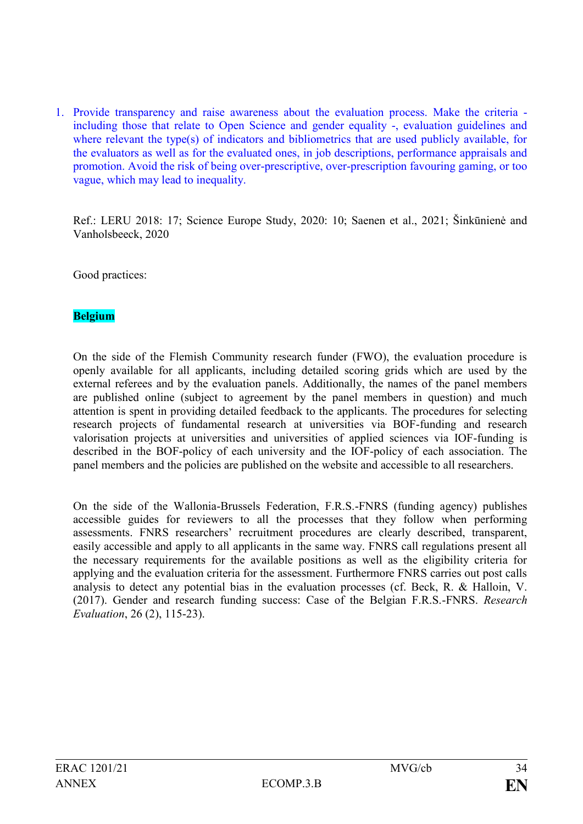1. Provide transparency and raise awareness about the evaluation process. Make the criteria including those that relate to Open Science and gender equality -, evaluation guidelines and where relevant the type(s) of indicators and bibliometrics that are used publicly available, for the evaluators as well as for the evaluated ones, in job descriptions, performance appraisals and promotion. Avoid the risk of being over-prescriptive, over-prescription favouring gaming, or too vague, which may lead to inequality.

Ref.: LERU 2018: 17; Science Europe Study, 2020: 10; Saenen et al., 2021; Šinkūnienė and Vanholsbeeck, 2020

Good practices:

#### **Belgium**

On the side of the Flemish Community research funder (FWO), the evaluation procedure is openly available for all applicants, including detailed scoring grids which are used by the external referees and by the evaluation panels. Additionally, the names of the panel members are published online (subject to agreement by the panel members in question) and much attention is spent in providing detailed feedback to the applicants. The procedures for selecting research projects of fundamental research at universities via BOF-funding and research valorisation projects at universities and universities of applied sciences via IOF-funding is described in the BOF-policy of each university and the IOF-policy of each association. The panel members and the policies are published on the website and accessible to all researchers.

On the side of the Wallonia-Brussels Federation, F.R.S.-FNRS (funding agency) publishes accessible guides for reviewers to all the processes that they follow when performing assessments. FNRS researchers' recruitment procedures are clearly described, transparent, easily accessible and apply to all applicants in the same way. FNRS call regulations present all the necessary requirements for the available positions as well as the eligibility criteria for applying and the evaluation criteria for the assessment. Furthermore FNRS carries out post calls analysis to detect any potential bias in the evaluation processes (cf. Beck, R. & Halloin, V. (2017). Gender and research funding success: Case of the Belgian F.R.S.-FNRS. *Research Evaluation*, 26 (2), 115-23).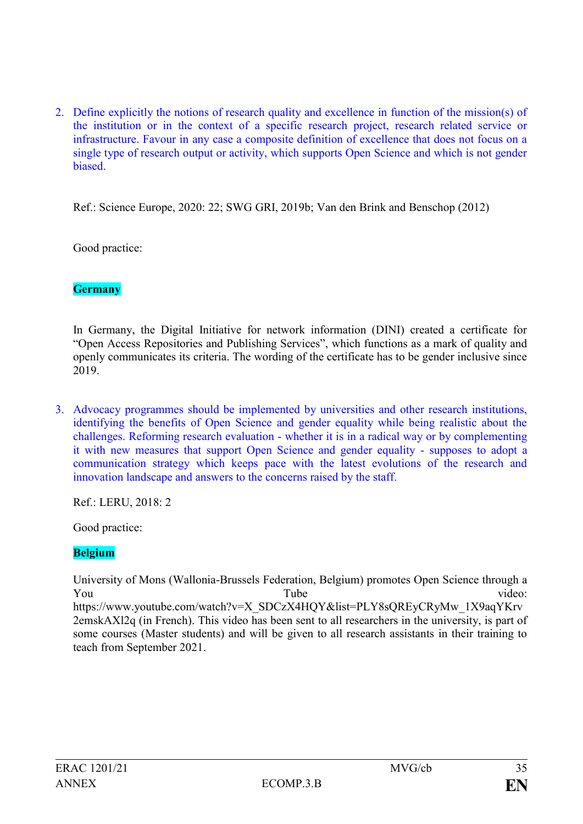2. Define explicitly the notions of research quality and excellence in function of the mission(s) of the institution or in the context of a specific research project, research related service or infrastructure. Favour in any case a composite definition of excellence that does not focus on a single type of research output or activity, which supports Open Science and which is not gender **biased** 

Ref.: Science Europe, 2020: 22; SWG GRI, 2019b; Van den Brink and Benschop (2012)

Good practice:

### **Germany**

In Germany, the Digital Initiative for network information (DINI) created a certificate for "Open Access Repositories and Publishing Services", which functions as a mark of quality and openly communicates its criteria. The wording of the certificate has to be gender inclusive since 2019.

3. Advocacy programmes should be implemented by universities and other research institutions, identifying the benefits of Open Science and gender equality while being realistic about the challenges. Reforming research evaluation - whether it is in a radical way or by complementing it with new measures that support Open Science and gender equality - supposes to adopt a communication strategy which keeps pace with the latest evolutions of the research and innovation landscape and answers to the concerns raised by the staff.

Ref.: LERU, 2018: 2

Good practice:

#### **Belgium**

University of Mons (Wallonia-Brussels Federation, Belgium) promotes Open Science through a You Tube  $\qquad \qquad$  Tube video: https://www.youtube.com/watch?v=X\_SDCzX4HOY&list=PLY8sOREyCRyMw\_1X9aqYKry 2emskAXl2q (in French). This video has been sent to all researchers in the university, is part of some courses (Master students) and will be given to all research assistants in their training to teach from September 2021.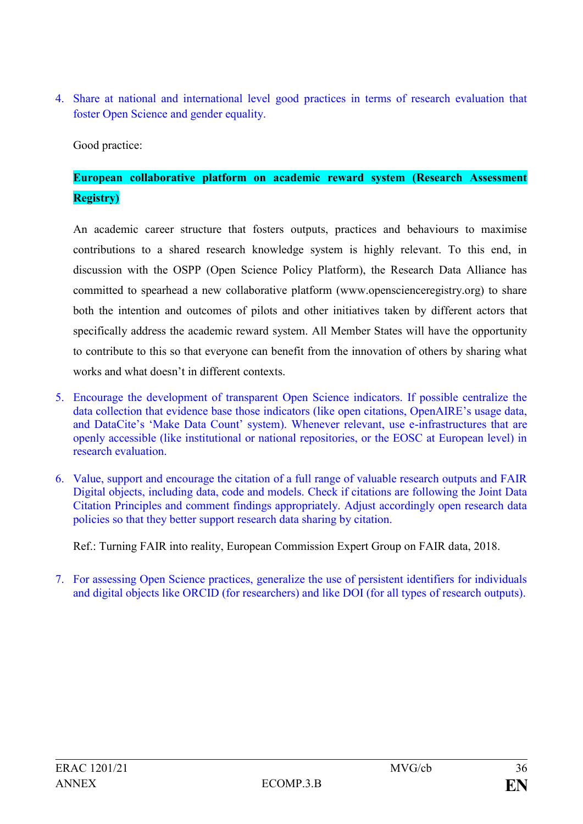4. Share at national and international level good practices in terms of research evaluation that foster Open Science and gender equality.

Good practice:

# **European collaborative platform on academic reward system (Research Assessment Registry)**

An academic career structure that fosters outputs, practices and behaviours to maximise contributions to a shared research knowledge system is highly relevant. To this end, in discussion with the OSPP (Open Science Policy Platform), the Research Data Alliance has committed to spearhead a new collaborative platform (www.openscienceregistry.org) to share both the intention and outcomes of pilots and other initiatives taken by different actors that specifically address the academic reward system. All Member States will have the opportunity to contribute to this so that everyone can benefit from the innovation of others by sharing what works and what doesn't in different contexts.

- 5. Encourage the development of transparent Open Science indicators. If possible centralize the data collection that evidence base those indicators (like open citations, OpenAIRE's usage data, and DataCite's 'Make Data Count' system). Whenever relevant, use e-infrastructures that are openly accessible (like institutional or national repositories, or the EOSC at European level) in research evaluation.
- 6. Value, support and encourage the citation of a full range of valuable research outputs and FAIR Digital objects, including data, code and models. Check if citations are following the Joint Data Citation Principles and comment findings appropriately. Adjust accordingly open research data policies so that they better support research data sharing by citation.

Ref.: Turning FAIR into reality, European Commission Expert Group on FAIR data, 2018.

7. For assessing Open Science practices, generalize the use of persistent identifiers for individuals and digital objects like ORCID (for researchers) and like DOI (for all types of research outputs).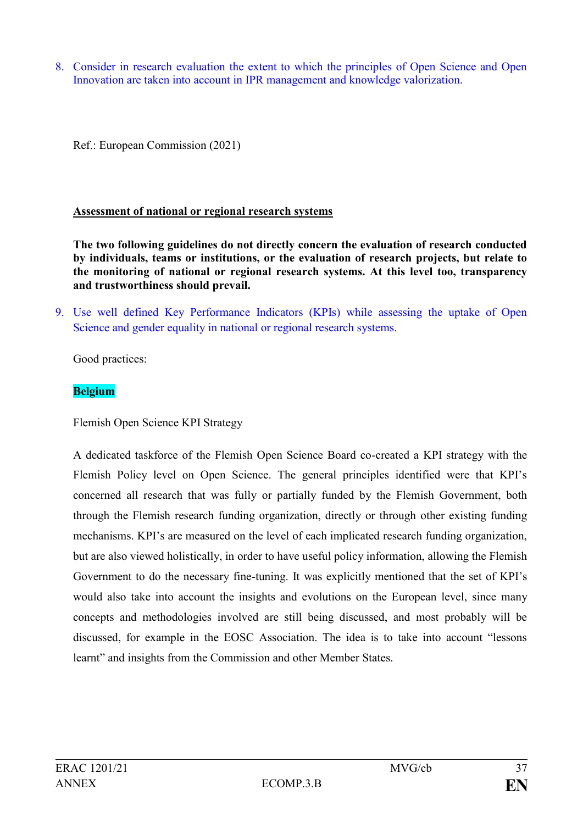8. Consider in research evaluation the extent to which the principles of Open Science and Open Innovation are taken into account in IPR management and knowledge valorization.

Ref.: European Commission (2021)

### **Assessment of national or regional research systems**

**The two following guidelines do not directly concern the evaluation of research conducted by individuals, teams or institutions, or the evaluation of research projects, but relate to the monitoring of national or regional research systems. At this level too, transparency and trustworthiness should prevail.**

9. Use well defined Key Performance Indicators (KPIs) while assessing the uptake of Open Science and gender equality in national or regional research systems.

Good practices:

### **Belgium**

Flemish Open Science KPI Strategy

A dedicated taskforce of the Flemish Open Science Board co-created a KPI strategy with the Flemish Policy level on Open Science. The general principles identified were that KPI's concerned all research that was fully or partially funded by the Flemish Government, both through the Flemish research funding organization, directly or through other existing funding mechanisms. KPI's are measured on the level of each implicated research funding organization, but are also viewed holistically, in order to have useful policy information, allowing the Flemish Government to do the necessary fine-tuning. It was explicitly mentioned that the set of KPI's would also take into account the insights and evolutions on the European level, since many concepts and methodologies involved are still being discussed, and most probably will be discussed, for example in the EOSC Association. The idea is to take into account "lessons learnt" and insights from the Commission and other Member States.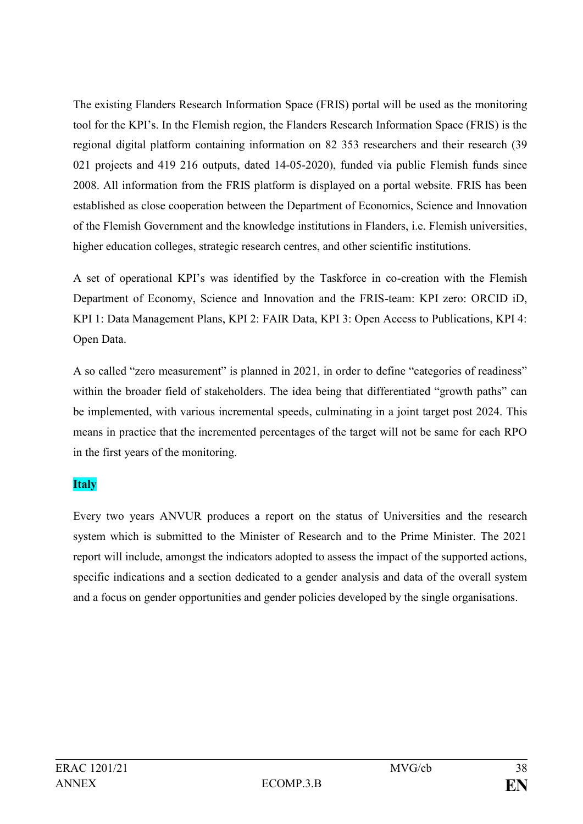The existing Flanders Research Information Space (FRIS) portal will be used as the monitoring tool for the KPI's. In the Flemish region, the Flanders Research Information Space (FRIS) is the regional digital platform containing information on 82 353 researchers and their research (39 021 projects and 419 216 outputs, dated 14-05-2020), funded via public Flemish funds since 2008. All information from the FRIS platform is displayed on a portal website. FRIS has been established as close cooperation between the Department of Economics, Science and Innovation of the Flemish Government and the knowledge institutions in Flanders, i.e. Flemish universities, higher education colleges, strategic research centres, and other scientific institutions.

A set of operational KPI's was identified by the Taskforce in co-creation with the Flemish Department of Economy, Science and Innovation and the FRIS-team: KPI zero: ORCID iD, KPI 1: Data Management Plans, KPI 2: FAIR Data, KPI 3: Open Access to Publications, KPI 4: Open Data.

A so called "zero measurement" is planned in 2021, in order to define "categories of readiness" within the broader field of stakeholders. The idea being that differentiated "growth paths" can be implemented, with various incremental speeds, culminating in a joint target post 2024. This means in practice that the incremented percentages of the target will not be same for each RPO in the first years of the monitoring.

## **Italy**

Every two years ANVUR produces a report on the status of Universities and the research system which is submitted to the Minister of Research and to the Prime Minister. The 2021 report will include, amongst the indicators adopted to assess the impact of the supported actions, specific indications and a section dedicated to a gender analysis and data of the overall system and a focus on gender opportunities and gender policies developed by the single organisations.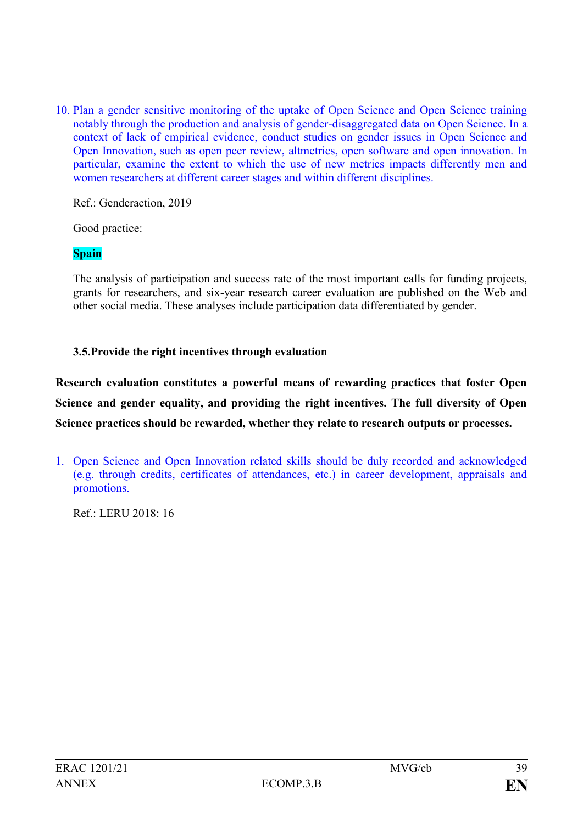10. Plan a gender sensitive monitoring of the uptake of Open Science and Open Science training notably through the production and analysis of gender-disaggregated data on Open Science. In a context of lack of empirical evidence, conduct studies on gender issues in Open Science and Open Innovation, such as open peer review, altmetrics, open software and open innovation. In particular, examine the extent to which the use of new metrics impacts differently men and women researchers at different career stages and within different disciplines.

Ref.: Genderaction, 2019

Good practice:

**Spain**

The analysis of participation and success rate of the most important calls for funding projects, grants for researchers, and six-year research career evaluation are published on the Web and other social media. These analyses include participation data differentiated by gender.

**3.5.Provide the right incentives through evaluation**

**Research evaluation constitutes a powerful means of rewarding practices that foster Open Science and gender equality, and providing the right incentives. The full diversity of Open Science practices should be rewarded, whether they relate to research outputs or processes.**

1. Open Science and Open Innovation related skills should be duly recorded and acknowledged (e.g. through credits, certificates of attendances, etc.) in career development, appraisals and promotions.

Ref.: LERU 2018: 16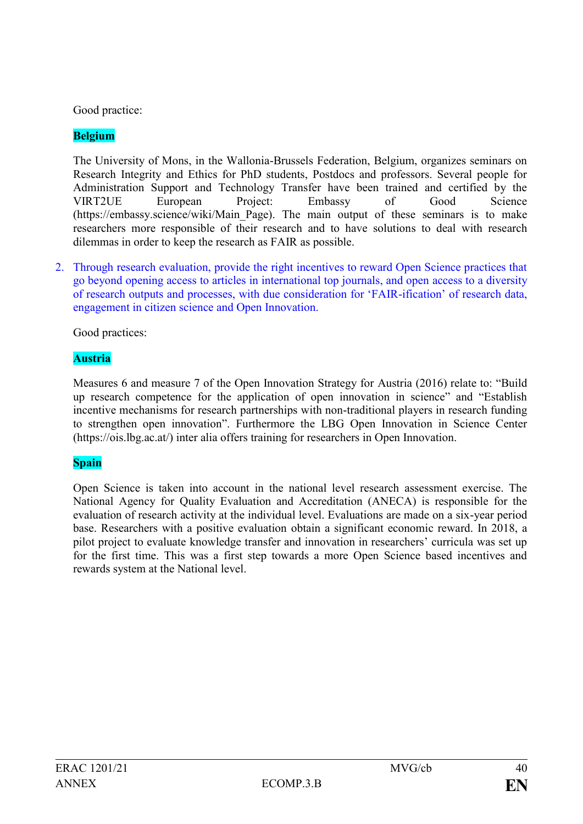Good practice:

## **Belgium**

The University of Mons, in the Wallonia-Brussels Federation, Belgium, organizes seminars on Research Integrity and Ethics for PhD students, Postdocs and professors. Several people for Administration Support and Technology Transfer have been trained and certified by the VIRT2UE European Project: Embassy of Good Science (https://embassy.science/wiki/Main\_Page). The main output of these seminars is to make researchers more responsible of their research and to have solutions to deal with research dilemmas in order to keep the research as FAIR as possible.

2. Through research evaluation, provide the right incentives to reward Open Science practices that go beyond opening access to articles in international top journals, and open access to a diversity of research outputs and processes, with due consideration for 'FAIR-ification' of research data, engagement in citizen science and Open Innovation.

Good practices:

## **Austria**

Measures 6 and measure 7 of the Open Innovation Strategy for Austria (2016) relate to: "Build up research competence for the application of open innovation in science" and "Establish incentive mechanisms for research partnerships with non-traditional players in research funding to strengthen open innovation". Furthermore the LBG Open Innovation in Science Center [\(https://ois.lbg.ac.at/\)](https://ois.lbg.ac.at/) inter alia offers training for researchers in Open Innovation.

## **Spain**

Open Science is taken into account in the national level research assessment exercise. The National Agency for Quality Evaluation and Accreditation (ANECA) is responsible for the evaluation of research activity at the individual level. Evaluations are made on a six-year period base. Researchers with a positive evaluation obtain a significant economic reward. In 2018, a pilot project to evaluate knowledge transfer and innovation in researchers' curricula was set up for the first time. This was a first step towards a more Open Science based incentives and rewards system at the National level.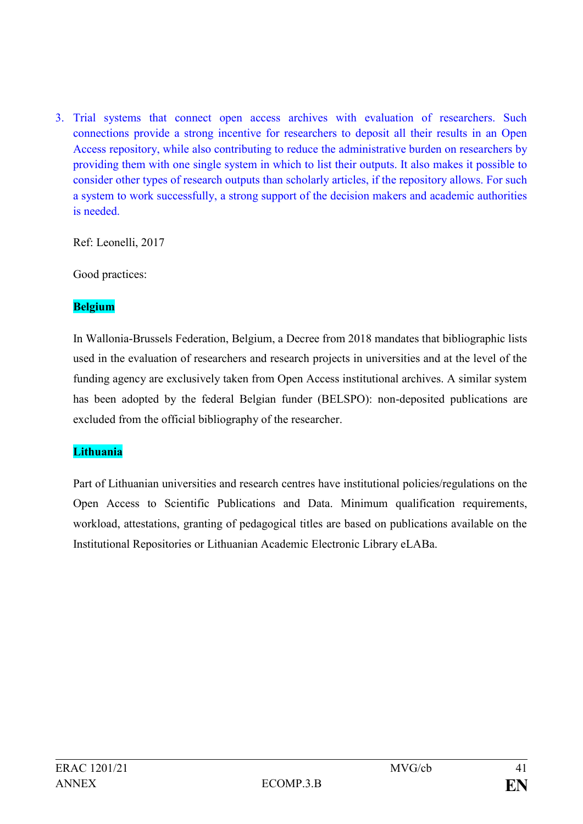3. Trial systems that connect open access archives with evaluation of researchers. Such connections provide a strong incentive for researchers to deposit all their results in an Open Access repository, while also contributing to reduce the administrative burden on researchers by providing them with one single system in which to list their outputs. It also makes it possible to consider other types of research outputs than scholarly articles, if the repository allows. For such a system to work successfully, a strong support of the decision makers and academic authorities is needed.

Ref: Leonelli, 2017

Good practices:

## **Belgium**

In Wallonia-Brussels Federation, Belgium, a Decree from 2018 mandates that bibliographic lists used in the evaluation of researchers and research projects in universities and at the level of the funding agency are exclusively taken from Open Access institutional archives. A similar system has been adopted by the federal Belgian funder (BELSPO): non-deposited publications are excluded from the official bibliography of the researcher.

## **Lithuania**

Part of Lithuanian universities and research centres have institutional policies/regulations on the Open Access to Scientific Publications and Data. Minimum qualification requirements, workload, attestations, granting of pedagogical titles are based on publications available on the Institutional Repositories or Lithuanian Academic Electronic Library eLABa.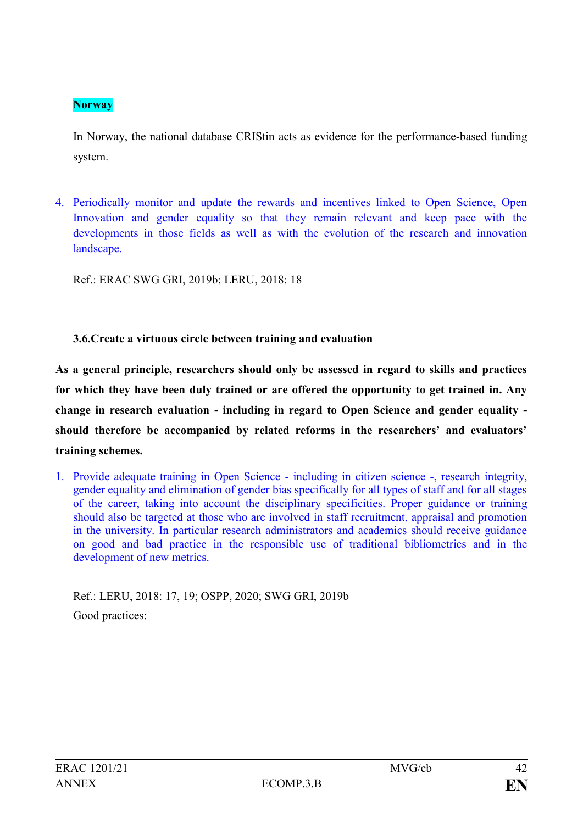## **Norway**

In Norway, the national database CRIStin acts as evidence for the performance-based funding system.

4. Periodically monitor and update the rewards and incentives linked to Open Science, Open Innovation and gender equality so that they remain relevant and keep pace with the developments in those fields as well as with the evolution of the research and innovation landscape.

Ref.: ERAC SWG GRI, 2019b; LERU, 2018: 18

## **3.6.Create a virtuous circle between training and evaluation**

**As a general principle, researchers should only be assessed in regard to skills and practices for which they have been duly trained or are offered the opportunity to get trained in. Any change in research evaluation - including in regard to Open Science and gender equality should therefore be accompanied by related reforms in the researchers' and evaluators' training schemes.**

1. Provide adequate training in Open Science - including in citizen science -, research integrity, gender equality and elimination of gender bias specifically for all types of staff and for all stages of the career, taking into account the disciplinary specificities. Proper guidance or training should also be targeted at those who are involved in staff recruitment, appraisal and promotion in the university. In particular research administrators and academics should receive guidance on good and bad practice in the responsible use of traditional bibliometrics and in the development of new metrics.

Ref.: LERU, 2018: 17, 19; OSPP, 2020; SWG GRI, 2019b Good practices: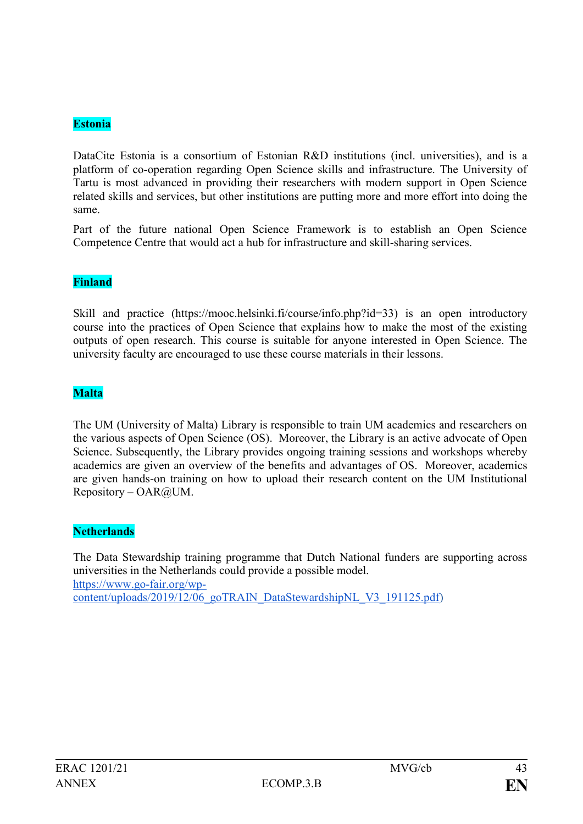## **Estonia**

DataCite Estonia is a consortium of Estonian R&D institutions (incl. universities), and is a platform of co-operation regarding Open Science skills and infrastructure. The University of Tartu is most advanced in providing their researchers with modern support in Open Science related skills and services, but other institutions are putting more and more effort into doing the same.

Part of the future national Open Science Framework is to establish an Open Science Competence Centre that would act a hub for infrastructure and skill-sharing services.

#### **Finland**

Skill and practice [\(https://mooc.helsinki.fi/course/info.php?id=33\)](https://mooc.helsinki.fi/course/info.php?id=33) is an open introductory course into the practices of Open Science that explains how to make the most of the existing outputs of open research. This course is suitable for anyone interested in Open Science. The university faculty are encouraged to use these course materials in their lessons.

#### **Malta**

The UM (University of Malta) Library is responsible to train UM academics and researchers on the various aspects of Open Science (OS). Moreover, the Library is an active advocate of Open Science. Subsequently, the Library provides ongoing training sessions and workshops whereby academics are given an overview of the benefits and advantages of OS. Moreover, academics are given hands-on training on how to upload their research content on the UM Institutional  $Repository - OAR@UM.$ 

### **Netherlands**

The Data Stewardship training programme that Dutch National funders are supporting across universities in the Netherlands could provide a possible model. [https://www.go-fair.org/wp](https://www.go-fair.org/wp-content/uploads/2019/12/06_goTRAIN_DataStewardshipNL_V3_191125.pdf)[content/uploads/2019/12/06\\_goTRAIN\\_DataStewardshipNL\\_V3\\_191125.pdf\)](https://www.go-fair.org/wp-content/uploads/2019/12/06_goTRAIN_DataStewardshipNL_V3_191125.pdf)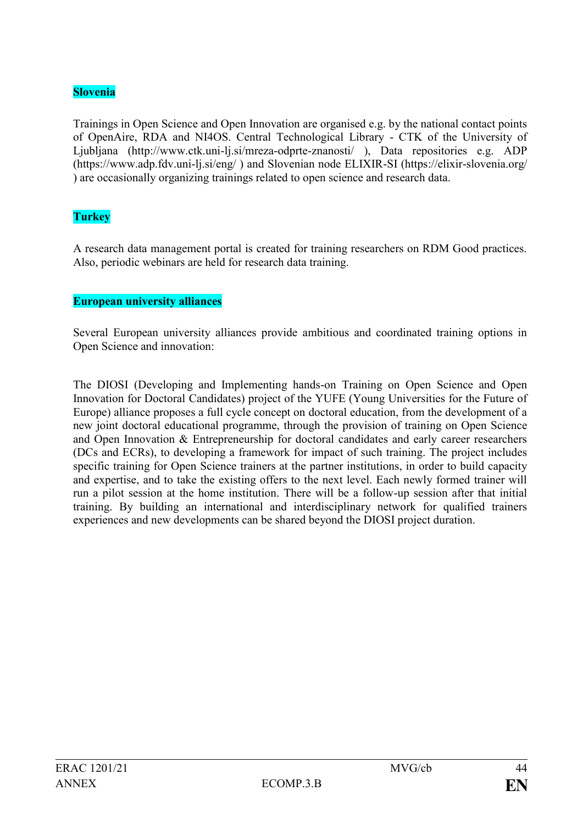### **Slovenia**

Trainings in Open Science and Open Innovation are organised e.g. by the national contact points of OpenAire, RDA and NI4OS. Central Technological Library - CTK of the University of Ljubljana [\(http://www.ctk.uni-lj.si/mreza-odprte-znanosti/](http://www.ctk.uni-lj.si/mreza-odprte-znanosti/) ), Data repositories e.g. ADP [\(https://www.adp.fdv.uni-lj.si/eng/](https://www.adp.fdv.uni-lj.si/eng/) ) and Slovenian node ELIXIR-SI [\(https://elixir-slovenia.org/](https://elixir-slovenia.org/) ) are occasionally organizing trainings related to open science and research data.

## **Turkey**

A research data management portal is created for training researchers on RDM Good practices. Also, periodic webinars are held for research data training.

### **European university alliances**

Several European university alliances provide ambitious and coordinated training options in Open Science and innovation:

The DIOSI (Developing and Implementing hands-on Training on Open Science and Open Innovation for Doctoral Candidates) project of the YUFE (Young Universities for the Future of Europe) alliance proposes a full cycle concept on doctoral education, from the development of a new joint doctoral educational programme, through the provision of training on Open Science and Open Innovation & Entrepreneurship for doctoral candidates and early career researchers (DCs and ECRs), to developing a framework for impact of such training. The project includes specific training for Open Science trainers at the partner institutions, in order to build capacity and expertise, and to take the existing offers to the next level. Each newly formed trainer will run a pilot session at the home institution. There will be a follow-up session after that initial training. By building an international and interdisciplinary network for qualified trainers experiences and new developments can be shared beyond the DIOSI project duration.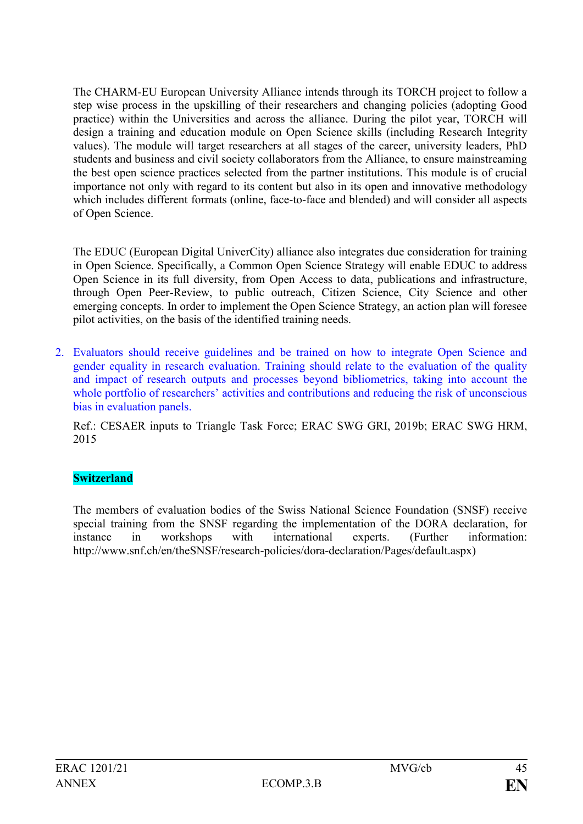The CHARM-EU European University Alliance intends through its TORCH project to follow a step wise process in the upskilling of their researchers and changing policies (adopting Good practice) within the Universities and across the alliance. During the pilot year, TORCH will design a training and education module on Open Science skills (including Research Integrity values). The module will target researchers at all stages of the career, university leaders, PhD students and business and civil society collaborators from the Alliance, to ensure mainstreaming the best open science practices selected from the partner institutions. This module is of crucial importance not only with regard to its content but also in its open and innovative methodology which includes different formats (online, face-to-face and blended) and will consider all aspects of Open Science.

The EDUC (European Digital UniverCity) alliance also integrates due consideration for training in Open Science. Specifically, a Common Open Science Strategy will enable EDUC to address Open Science in its full diversity, from Open Access to data, publications and infrastructure, through Open Peer-Review, to public outreach, Citizen Science, City Science and other emerging concepts. In order to implement the Open Science Strategy, an action plan will foresee pilot activities, on the basis of the identified training needs.

2. Evaluators should receive guidelines and be trained on how to integrate Open Science and gender equality in research evaluation. Training should relate to the evaluation of the quality and impact of research outputs and processes beyond bibliometrics, taking into account the whole portfolio of researchers' activities and contributions and reducing the risk of unconscious bias in evaluation panels.

Ref.: CESAER inputs to Triangle Task Force; ERAC SWG GRI, 2019b; ERAC SWG HRM, 2015

## **Switzerland**

The members of evaluation bodies of the Swiss National Science Foundation (SNSF) receive special training from the SNSF regarding the implementation of the DORA declaration, for instance in workshops with international experts. (Further information: http://www.snf.ch/en/theSNSF/research-policies/dora-declaration/Pages/default.aspx)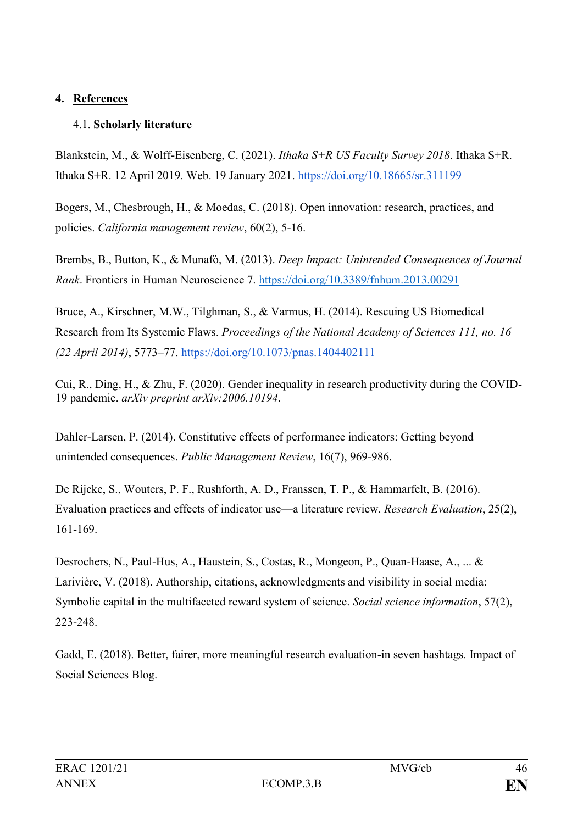## **4. References**

## 4.1. **Scholarly literature**

Blankstein, M., & Wolff-Eisenberg, C. (2021). *Ithaka S+R US Faculty Survey 2018*. Ithaka S+R. Ithaka S+R. 12 April 2019. Web. 19 January 2021.<https://doi.org/10.18665/sr.311199>

Bogers, M., Chesbrough, H., & Moedas, C. (2018). Open innovation: research, practices, and policies. *California management review*, 60(2), 5-16.

Brembs, B., Button, K., & Munafò, M. (2013). *Deep Impact: Unintended Consequences of Journal Rank*. Frontiers in Human Neuroscience 7.<https://doi.org/10.3389/fnhum.2013.00291>

Bruce, A., Kirschner, M.W., Tilghman, S., & Varmus, H. (2014). Rescuing US Biomedical Research from Its Systemic Flaws. *Proceedings of the National Academy of Sciences 111, no. 16 (22 April 2014)*, 5773–77.<https://doi.org/10.1073/pnas.1404402111>

Cui, R., Ding, H., & Zhu, F. (2020). Gender inequality in research productivity during the COVID-19 pandemic. *arXiv preprint arXiv:2006.10194*.

Dahler-Larsen, P. (2014). Constitutive effects of performance indicators: Getting beyond unintended consequences. *Public Management Review*, 16(7), 969-986.

De Rijcke, S., Wouters, P. F., Rushforth, A. D., Franssen, T. P., & Hammarfelt, B. (2016). Evaluation practices and effects of indicator use—a literature review. *Research Evaluation*, 25(2), 161-169.

Desrochers, N., Paul-Hus, A., Haustein, S., Costas, R., Mongeon, P., Quan-Haase, A., ... & Larivière, V. (2018). Authorship, citations, acknowledgments and visibility in social media: Symbolic capital in the multifaceted reward system of science. *Social science information*, 57(2), 223-248.

Gadd, E. (2018). Better, fairer, more meaningful research evaluation-in seven hashtags. Impact of Social Sciences Blog.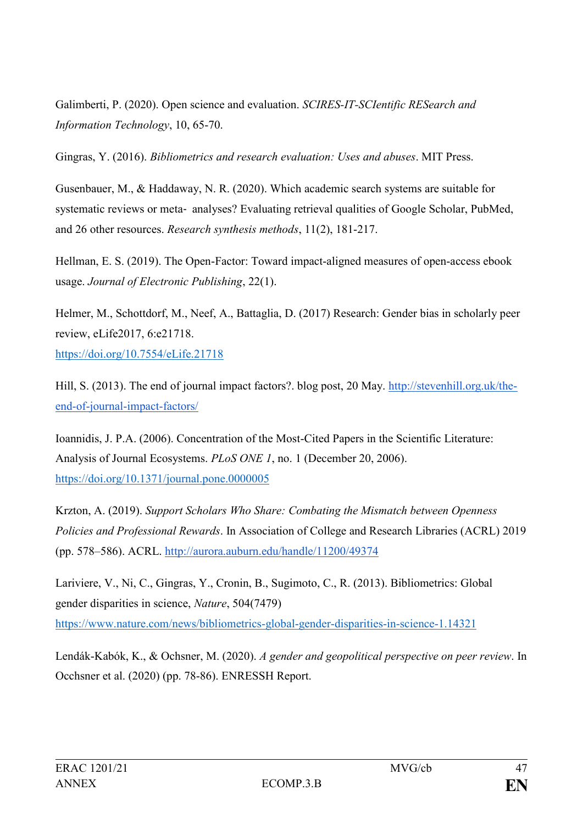Galimberti, P. (2020). Open science and evaluation. *SCIRES-IT-SCIentific RESearch and Information Technology*, 10, 65-70.

Gingras, Y. (2016). *Bibliometrics and research evaluation: Uses and abuses*. MIT Press.

Gusenbauer, M., & Haddaway, N. R. (2020). Which academic search systems are suitable for systematic reviews or meta‐ analyses? Evaluating retrieval qualities of Google Scholar, PubMed, and 26 other resources. *Research synthesis methods*, 11(2), 181-217.

Hellman, E. S. (2019). The Open-Factor: Toward impact-aligned measures of open-access ebook usage. *Journal of Electronic Publishing*, 22(1).

Helmer, M., Schottdorf, M., Neef, A., Battaglia, D. (2017) Research: Gender bias in scholarly peer review, eLife2017, 6:e21718. <https://doi.org/10.7554/eLife.21718>

Hill, S. (2013). The end of journal impact factors?. blog post, 20 May. [http://stevenhill.org.uk/the](http://stevenhill.org.uk/the-end-of-journal-impact-factors/)[end-of-journal-impact-factors/](http://stevenhill.org.uk/the-end-of-journal-impact-factors/)

Ioannidis, J. P.A. (2006). Concentration of the Most-Cited Papers in the Scientific Literature: Analysis of Journal Ecosystems. *PLoS ONE 1*, no. 1 (December 20, 2006). <https://doi.org/10.1371/journal.pone.0000005>

Krzton, A. (2019). *Support Scholars Who Share: Combating the Mismatch between Openness Policies and Professional Rewards*. In Association of College and Research Libraries (ACRL) 2019 (pp. 578–586). ACRL.<http://aurora.auburn.edu/handle/11200/49374>

Lariviere, V., Ni, C., Gingras, Y., Cronin, B., Sugimoto, C., R. (2013). Bibliometrics: Global gender disparities in science, *Nature*, 504(7479) <https://www.nature.com/news/bibliometrics-global-gender-disparities-in-science-1.14321>

Lendák-Kabók, K., & Ochsner, M. (2020). *A gender and geopolitical perspective on peer review*. In Occhsner et al. (2020) (pp. 78-86). ENRESSH Report.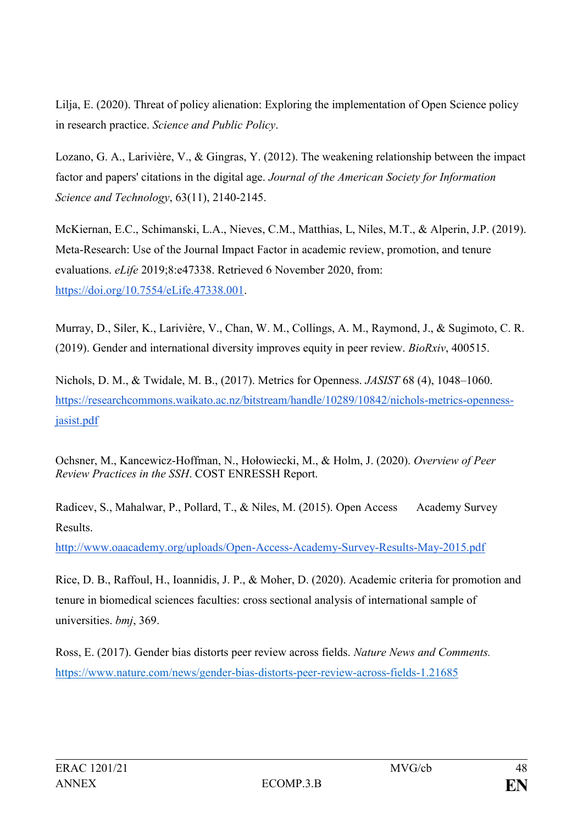Lilja, E. (2020). Threat of policy alienation: Exploring the implementation of Open Science policy in research practice. *Science and Public Policy*.

Lozano, G. A., Larivière, V., & Gingras, Y. (2012). The weakening relationship between the impact factor and papers' citations in the digital age. *Journal of the American Society for Information Science and Technology*, 63(11), 2140-2145.

McKiernan, E.C., Schimanski, L.A., Nieves, C.M., Matthias, L, Niles, M.T., & Alperin, J.P. (2019). Meta-Research: Use of the Journal Impact Factor in academic review, promotion, and tenure evaluations. *eLife* 2019;8:e47338. Retrieved 6 November 2020, from[:](https://doi.org/10.7554/eLife.47338.001) [https://doi.org/10.7554/eLife.47338.001.](https://doi.org/10.7554/eLife.47338.001)

Murray, D., Siler, K., Larivière, V., Chan, W. M., Collings, A. M., Raymond, J., & Sugimoto, C. R. (2019). Gender and international diversity improves equity in peer review. *BioRxiv*, 400515.

Nichols, D. M., & Twidale, M. B., (2017). Metrics for Openness. *JASIST* 68 (4), 1048–1060. [https://researchcommons.waikato.ac.nz/bitstream/handle/10289/10842/nichols-metrics-openness](https://researchcommons.waikato.ac.nz/bitstream/handle/10289/10842/nichols-metrics-openness-jasist.pdf)[jasist.pdf](https://researchcommons.waikato.ac.nz/bitstream/handle/10289/10842/nichols-metrics-openness-jasist.pdf)

Ochsner, M., Kancewicz-Hoffman, N., Hołowiecki, M., & Holm, J. (2020). *Overview of Peer Review Practices in the SSH*. COST ENRESSH Report.

Radicev, S., Mahalwar, P., Pollard, T., & Niles, M. (2015). Open Access Academy Survey Results.

<http://www.oaacademy.org/uploads/Open-Access-Academy-Survey-Results-May-2015.pdf>

Rice, D. B., Raffoul, H., Ioannidis, J. P., & Moher, D. (2020). Academic criteria for promotion and tenure in biomedical sciences faculties: cross sectional analysis of international sample of universities. *bmj*, 369.

Ross, E. (2017). Gender bias distorts peer review across fields. *Nature News and Comments.* <https://www.nature.com/news/gender-bias-distorts-peer-review-across-fields-1.21685>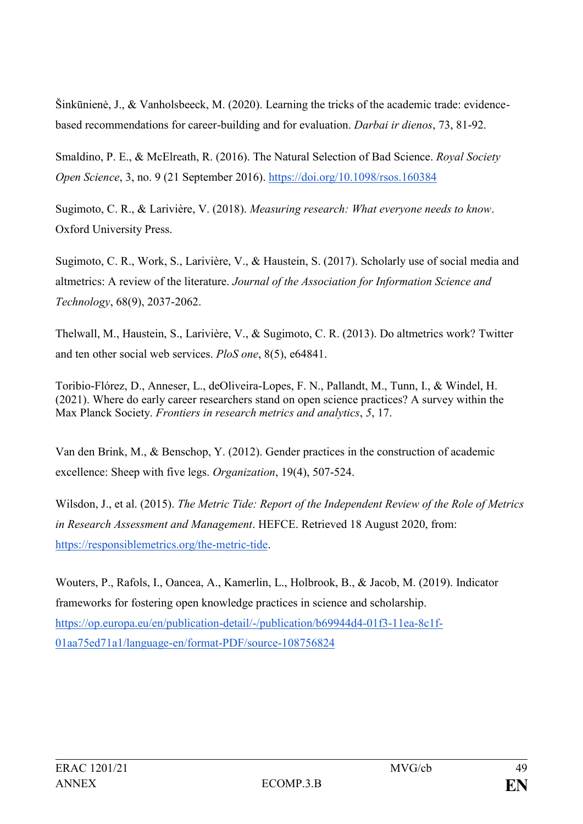Šinkūnienė, J., & Vanholsbeeck, M. (2020). Learning the tricks of the academic trade: evidencebased recommendations for career-building and for evaluation. *Darbai ir dienos*, 73, 81-92.

Smaldino, P. E., & McElreath, R. (2016). The Natural Selection of Bad Science. *Royal Society Open Science*, 3, no. 9 (21 September 2016).<https://doi.org/10.1098/rsos.160384>

Sugimoto, C. R., & Larivière, V. (2018). *Measuring research: What everyone needs to know*. Oxford University Press.

Sugimoto, C. R., Work, S., Larivière, V., & Haustein, S. (2017). Scholarly use of social media and altmetrics: A review of the literature. *Journal of the Association for Information Science and Technology*, 68(9), 2037-2062.

Thelwall, M., Haustein, S., Larivière, V., & Sugimoto, C. R. (2013). Do altmetrics work? Twitter and ten other social web services. *PloS one*, 8(5), e64841.

Toribio-Flórez, D., Anneser, L., deOliveira-Lopes, F. N., Pallandt, M., Tunn, I., & Windel, H. (2021). Where do early career researchers stand on open science practices? A survey within the Max Planck Society. *Frontiers in research metrics and analytics*, *5*, 17.

Van den Brink, M., & Benschop, Y. (2012). Gender practices in the construction of academic excellence: Sheep with five legs. *Organization*, 19(4), 507-524.

Wilsdon, J., et al. (2015). *The Metric Tide: Report of the Independent Review of the Role of Metrics in Research Assessment and Management*. HEFCE. Retrieved 18 August 2020, from[:](https://responsiblemetrics.org/the-metric-tide) [https://responsiblemetrics.org/the-metric-tide.](https://responsiblemetrics.org/the-metric-tide)

Wouters, P., Rafols, I., Oancea, A., Kamerlin, L., Holbrook, B., & Jacob, M. (2019). Indicator frameworks for fostering open knowledge practices in science and scholarship. [https://op.europa.eu/en/publication-detail/-/publication/b69944d4-01f3-11ea-8c1f-](https://op.europa.eu/en/publication-detail/-/publication/b69944d4-01f3-11ea-8c1f-01aa75ed71a1/language-en/format-PDF/source-108756824)[01aa75ed71a1/language-en/format-PDF/source-108756824](https://op.europa.eu/en/publication-detail/-/publication/b69944d4-01f3-11ea-8c1f-01aa75ed71a1/language-en/format-PDF/source-108756824)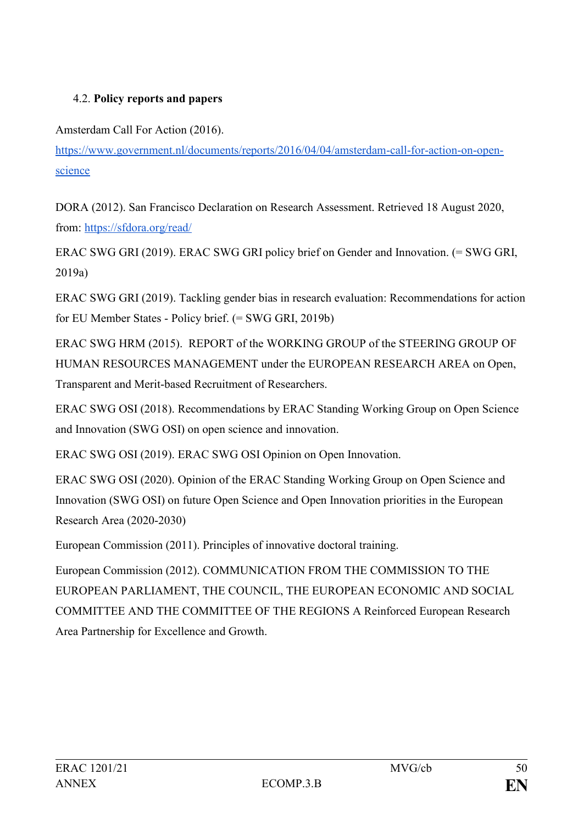# 4.2. **Policy reports and papers**

Amsterdam Call For Action (2016).

[https://www.government.nl/documents/reports/2016/04/04/amsterdam-call-for-action-on-open](https://www.government.nl/documents/reports/2016/04/04/amsterdam-call-for-action-on-open-science)[science](https://www.government.nl/documents/reports/2016/04/04/amsterdam-call-for-action-on-open-science)

DORA (2012). San Francisco Declaration on Research Assessment. Retrieved 18 August 2020, from: <https://sfdora.org/read/>

ERAC SWG GRI (2019). ERAC SWG GRI policy brief on Gender and Innovation. (= SWG GRI, 2019a)

ERAC SWG GRI (2019). Tackling gender bias in research evaluation: Recommendations for action for EU Member States - Policy brief. (= SWG GRI, 2019b)

ERAC SWG HRM (2015). REPORT of the WORKING GROUP of the STEERING GROUP OF HUMAN RESOURCES MANAGEMENT under the EUROPEAN RESEARCH AREA on Open, Transparent and Merit-based Recruitment of Researchers.

ERAC SWG OSI (2018). Recommendations by ERAC Standing Working Group on Open Science and Innovation (SWG OSI) on open science and innovation.

ERAC SWG OSI (2019). ERAC SWG OSI Opinion on Open Innovation.

ERAC SWG OSI (2020). Opinion of the ERAC Standing Working Group on Open Science and Innovation (SWG OSI) on future Open Science and Open Innovation priorities in the European Research Area (2020-2030)

European Commission (2011). Principles of innovative doctoral training.

European Commission (2012). COMMUNICATION FROM THE COMMISSION TO THE EUROPEAN PARLIAMENT, THE COUNCIL, THE EUROPEAN ECONOMIC AND SOCIAL COMMITTEE AND THE COMMITTEE OF THE REGIONS A Reinforced European Research Area Partnership for Excellence and Growth.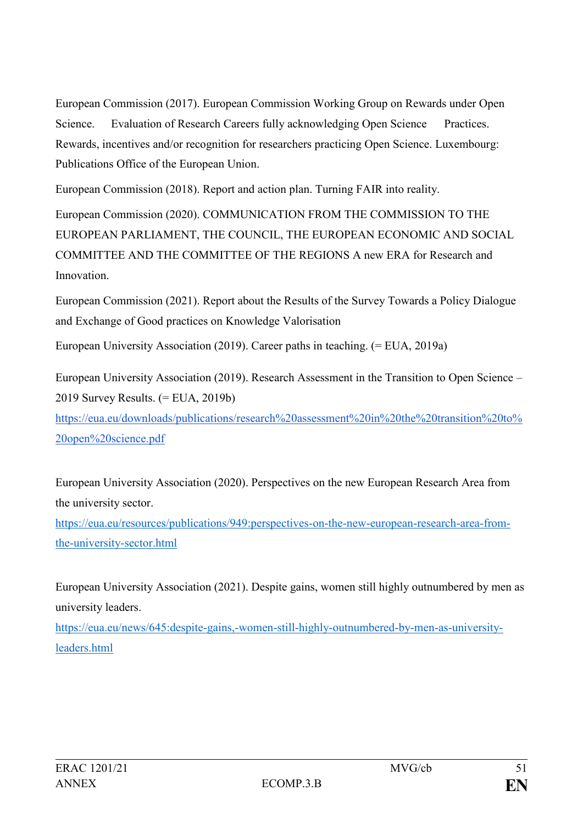European Commission (2017). European Commission Working Group on Rewards under Open Science. Evaluation of Research Careers fully acknowledging Open Science Practices. Rewards, incentives and/or recognition for researchers practicing Open Science. Luxembourg: Publications Office of the European Union.

European Commission (2018). Report and action plan. Turning FAIR into reality.

European Commission (2020). COMMUNICATION FROM THE COMMISSION TO THE EUROPEAN PARLIAMENT, THE COUNCIL, THE EUROPEAN ECONOMIC AND SOCIAL COMMITTEE AND THE COMMITTEE OF THE REGIONS A new ERA for Research and **Innovation** 

European Commission (2021). Report about the Results of the Survey Towards a Policy Dialogue and Exchange of Good practices on Knowledge Valorisation

European University Association (2019). Career paths in teaching. (= EUA, 2019a)

European University Association (2019). Research Assessment in the Transition to Open Science – 2019 Survey Results. (= EUA, 2019b)

[https://eua.eu/downloads/publications/research%20assessment%20in%20the%20transition%20to%](https://eua.eu/downloads/publications/research%20assessment%20in%20the%20transition%20to%20open%20science.pdf) [20open%20science.pdf](https://eua.eu/downloads/publications/research%20assessment%20in%20the%20transition%20to%20open%20science.pdf)

European University Association (2020). Perspectives on the new European Research Area from the university sector.

[https://eua.eu/resources/publications/949:perspectives-on-the-new-european-research-area-from](https://eua.eu/resources/publications/949:perspectives-on-the-new-european-research-area-from-the-university-sector.html)[the-university-sector.html](https://eua.eu/resources/publications/949:perspectives-on-the-new-european-research-area-from-the-university-sector.html)

European University Association (2021). Despite gains, women still highly outnumbered by men as university leaders.

[https://eua.eu/news/645:despite-gains,-women-still-highly-outnumbered-by-men-as-university](https://eua.eu/news/645:despite-gains,-women-still-highly-outnumbered-by-men-as-university-leaders.html)[leaders.html](https://eua.eu/news/645:despite-gains,-women-still-highly-outnumbered-by-men-as-university-leaders.html)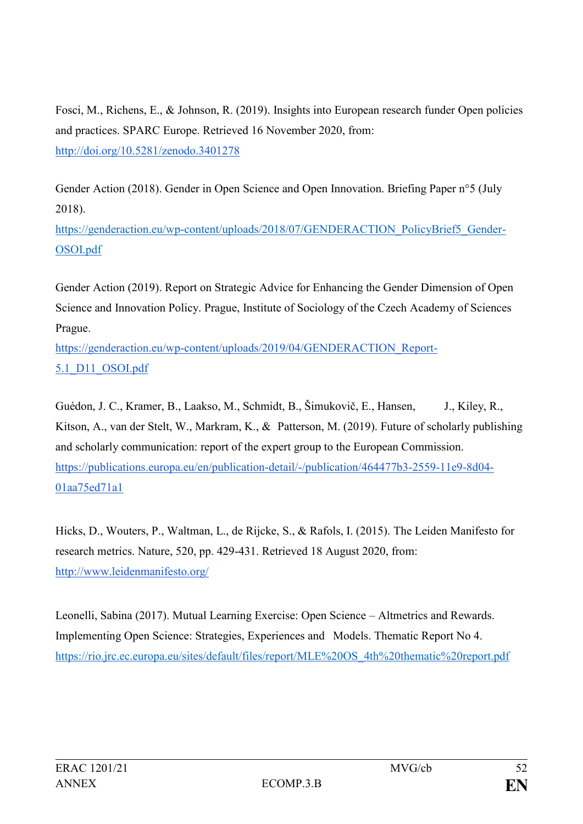Fosci, M., Richens, E., & Johnson, R. (2019). Insights into European research funder Open policies and practices. SPARC Europe. Retrieved 16 November 2020, from[:](http://doi.org/10.5281/zenodo.3401278) <http://doi.org/10.5281/zenodo.3401278>

Gender Action (2018). Gender in Open Science and Open Innovation. Briefing Paper n°5 (July 2018).

[https://genderaction.eu/wp-content/uploads/2018/07/GENDERACTION\\_PolicyBrief5\\_Gender-](https://genderaction.eu/wp-content/uploads/2018/07/GENDERACTION_PolicyBrief5_Gender-OSOI.pdf)[OSOI.pdf](https://genderaction.eu/wp-content/uploads/2018/07/GENDERACTION_PolicyBrief5_Gender-OSOI.pdf)

Gender Action (2019). Report on Strategic Advice for Enhancing the Gender Dimension of Open Science and Innovation Policy. Prague, Institute of Sociology of the Czech Academy of Sciences Prague.

[https://genderaction.eu/wp-content/uploads/2019/04/GENDERACTION\\_Report-](https://genderaction.eu/wp-content/uploads/2019/04/GENDERACTION_Report-5.1_D11_OSOI.pdf)[5.1\\_D11\\_OSOI.pdf](https://genderaction.eu/wp-content/uploads/2019/04/GENDERACTION_Report-5.1_D11_OSOI.pdf)

Guédon, J. C., Kramer, B., Laakso, M., Schmidt, B., Šimukovič, E., Hansen, J., Kiley, R., Kitson, A., van der Stelt, W., Markram, K., & Patterson, M. (2019). Future of scholarly publishing and scholarly communication: report of the expert group to the European Commission. [https://publications.europa.eu/en/publication-detail/-/publication/464477b3-2559-11e9-8d04-](https://publications.europa.eu/en/publication-detail/-/publication/464477b3-2559-11e9-8d04-01aa75ed71a1) [01aa75ed71a1](https://publications.europa.eu/en/publication-detail/-/publication/464477b3-2559-11e9-8d04-01aa75ed71a1)

Hicks, D., Wouters, P., Waltman, L., de Rijcke, S., & Rafols, I. (2015). The Leiden Manifesto for research metrics. Nature, 520, pp. 429-431. Retrieved 18 August 2020, from[:](http://www.leidenmanifesto.org/) <http://www.leidenmanifesto.org/>

Leonelli, Sabina (2017). Mutual Learning Exercise: Open Science – Altmetrics and Rewards. Implementing Open Science: Strategies, Experiences and Models. Thematic Report No 4. https://rio.jrc.ec.europa.eu/sites/default/files/report/MLE%20OS\_4th%20thematic%20report.pdf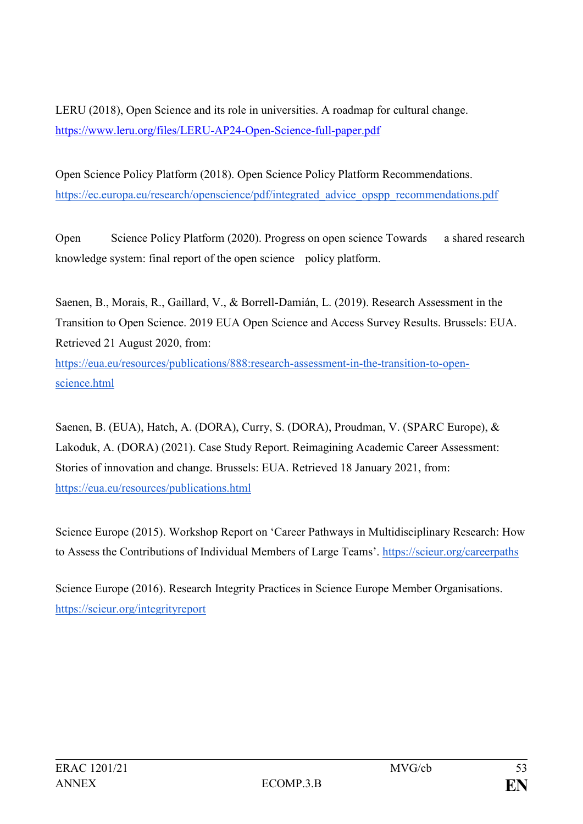LERU (2018), Open Science and its role in universities. A roadmap for cultural change. https://www.leru.org/files/LERU-AP24-Open-Science-full-paper.pdf

Open Science Policy Platform (2018). Open Science Policy Platform Recommendations. [https://ec.europa.eu/research/openscience/pdf/integrated\\_advice\\_opspp\\_recommendations.pdf](https://ec.europa.eu/research/openscience/pdf/integrated_advice_opspp_recommendations.pdf)

Open Science Policy Platform (2020). Progress on open science Towards a shared research knowledge system: final report of the open science policy platform.

Saenen, B., Morais, R., Gaillard, V., & Borrell-Damián, L. (2019). Research Assessment in the Transition to Open Science. 2019 EUA Open Science and Access Survey Results. Brussels: EUA. Retrieved 21 August 2020, from: [https://eua.eu/resources/publications/888:research-assessment-in-the-transition-to-open](https://eua.eu/resources/publications/888:research-assessment-in-the-transition-to-open-science.html)[science.html](https://eua.eu/resources/publications/888:research-assessment-in-the-transition-to-open-science.html)

Saenen, B. (EUA), Hatch, A. (DORA), Curry, S. (DORA), Proudman, V. (SPARC Europe), & Lakoduk, A. (DORA) (2021). Case Study Report. Reimagining Academic Career Assessment: Stories of innovation and change. Brussels: EUA. Retrieved 18 January 2021, from: <https://eua.eu/resources/publications.html>

Science Europe (2015). Workshop Report on 'Career Pathways in Multidisciplinary Research: How to Assess the Contributions of Individual Members of Large Teams'. <https://scieur.org/careerpaths>

Science Europe (2016). Research Integrity Practices in Science Europe Member Organisations. <https://scieur.org/integrityreport>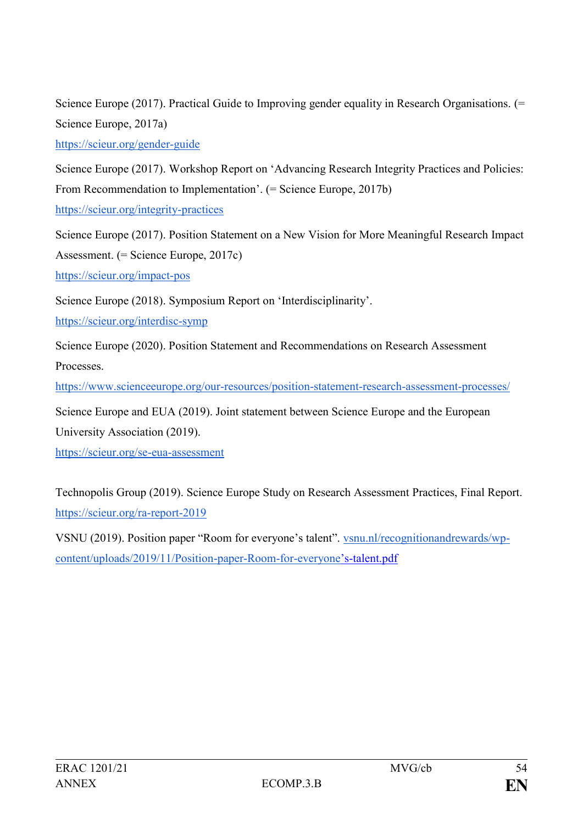Science Europe (2017). Practical Guide to Improving gender equality in Research Organisations.  $(=$ Science Europe, 2017a)

<https://scieur.org/gender-guide>

Science Europe (2017). Workshop Report on 'Advancing Research Integrity Practices and Policies: From Recommendation to Implementation'. (= Science Europe, 2017b)

<https://scieur.org/integrity-practices>

Science Europe (2017). Position Statement on a New Vision for More Meaningful Research Impact Assessment. (= Science Europe, 2017c)

<https://scieur.org/impact-pos>

Science Europe (2018). Symposium Report on 'Interdisciplinarity'.

<https://scieur.org/interdisc-symp>

Science Europe (2020). Position Statement and Recommendations on Research Assessment **Processes** 

<https://www.scienceeurope.org/our-resources/position-statement-research-assessment-processes/>

Science Europe and EUA (2019). Joint statement between Science Europe and the European

University Association (2019).

<https://scieur.org/se-eua-assessment>

Technopolis Group (2019). Science Europe Study on Research Assessment Practices, Final Report. <https://scieur.org/ra-report-2019>

VSNU (2019). Position paper "Room for everyone's talent". [vsnu.nl/recognitionandrewards/wp](https://vsnu.nl/recognitionandrewards/wp-content/uploads/2019/11/Position-paper-Room-for-everyone)[content/uploads/2019/11/Position-paper-Room-for-everyone](https://vsnu.nl/recognitionandrewards/wp-content/uploads/2019/11/Position-paper-Room-for-everyone)'s-talent.pdf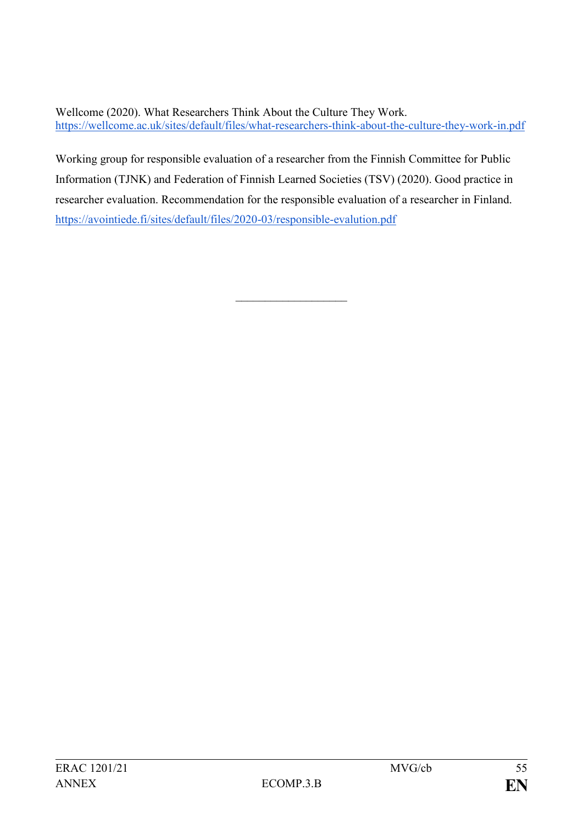Wellcome (2020). What Researchers Think About the Culture They Work. <https://wellcome.ac.uk/sites/default/files/what-researchers-think-about-the-culture-they-work-in.pdf>

Working group for responsible evaluation of a researcher from the Finnish Committee for Public Information (TJNK) and Federation of Finnish Learned Societies (TSV) (2020). Good practice in researcher evaluation. Recommendation for the responsible evaluation of a researcher in Finland. <https://avointiede.fi/sites/default/files/2020-03/responsible-evalution.pdf>

 $\overline{\phantom{a}}$  , where  $\overline{\phantom{a}}$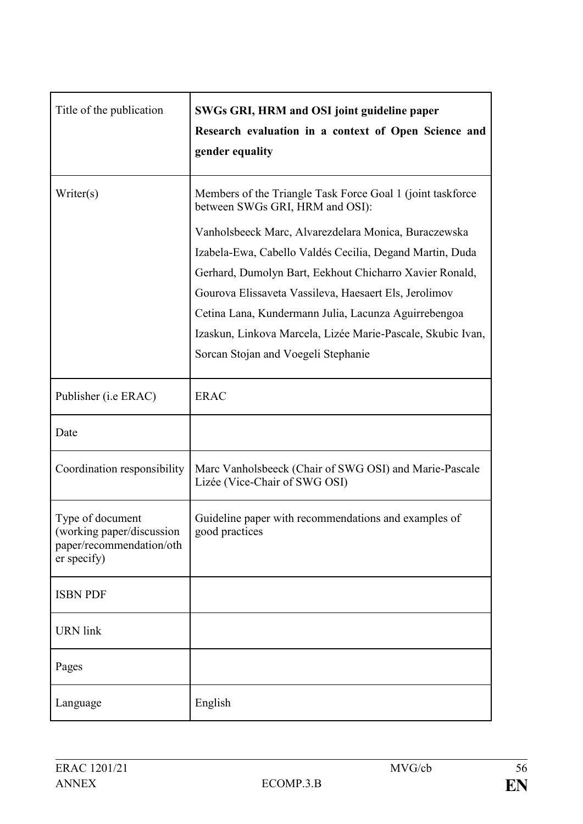| Title of the publication                                                                 | SWGs GRI, HRM and OSI joint guideline paper<br>Research evaluation in a context of Open Science and<br>gender equality                                                                                                                                                                                                                     |
|------------------------------------------------------------------------------------------|--------------------------------------------------------------------------------------------------------------------------------------------------------------------------------------------------------------------------------------------------------------------------------------------------------------------------------------------|
| Writer(s)                                                                                | Members of the Triangle Task Force Goal 1 (joint taskforce<br>between SWGs GRI, HRM and OSI):<br>Vanholsbeeck Marc, Alvarezdelara Monica, Buraczewska                                                                                                                                                                                      |
|                                                                                          | Izabela-Ewa, Cabello Valdés Cecilia, Degand Martin, Duda<br>Gerhard, Dumolyn Bart, Eekhout Chicharro Xavier Ronald,<br>Gourova Elissaveta Vassileva, Haesaert Els, Jerolimov<br>Cetina Lana, Kundermann Julia, Lacunza Aguirrebengoa<br>Izaskun, Linkova Marcela, Lizée Marie-Pascale, Skubic Ivan,<br>Sorcan Stojan and Voegeli Stephanie |
| Publisher ( <i>i.e ERAC</i> )                                                            | <b>ERAC</b>                                                                                                                                                                                                                                                                                                                                |
| Date                                                                                     |                                                                                                                                                                                                                                                                                                                                            |
| Coordination responsibility                                                              | Marc Vanholsbeeck (Chair of SWG OSI) and Marie-Pascale<br>Lizée (Vice-Chair of SWG OSI)                                                                                                                                                                                                                                                    |
| Type of document<br>(working paper/discussion<br>paper/recommendation/oth<br>er specify) | Guideline paper with recommendations and examples of<br>good practices                                                                                                                                                                                                                                                                     |
| <b>ISBN PDF</b>                                                                          |                                                                                                                                                                                                                                                                                                                                            |
| <b>URN</b> link                                                                          |                                                                                                                                                                                                                                                                                                                                            |
| Pages                                                                                    |                                                                                                                                                                                                                                                                                                                                            |
| Language                                                                                 | English                                                                                                                                                                                                                                                                                                                                    |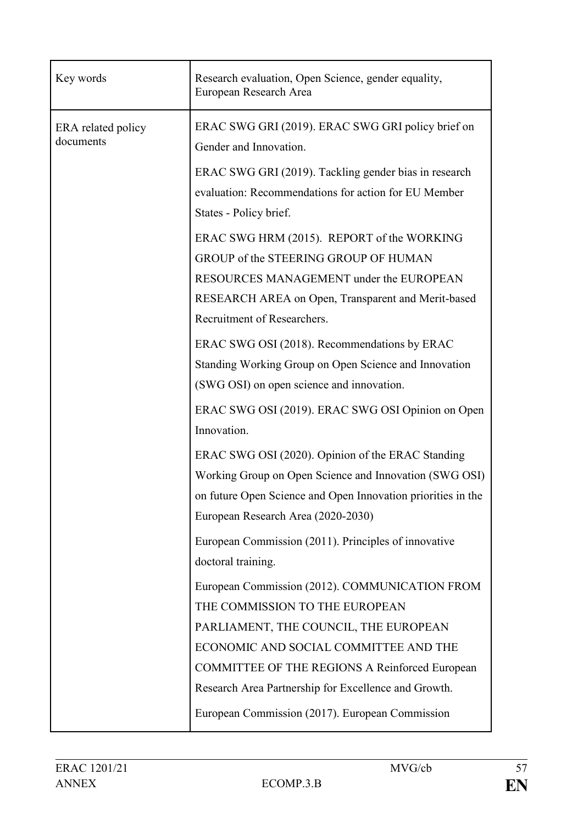| Key words                       | Research evaluation, Open Science, gender equality,<br>European Research Area                                                                                                                                      |
|---------------------------------|--------------------------------------------------------------------------------------------------------------------------------------------------------------------------------------------------------------------|
| ERA related policy<br>documents | ERAC SWG GRI (2019). ERAC SWG GRI policy brief on<br>Gender and Innovation.<br>ERAC SWG GRI (2019). Tackling gender bias in research                                                                               |
|                                 | evaluation: Recommendations for action for EU Member<br>States - Policy brief.                                                                                                                                     |
|                                 | ERAC SWG HRM (2015). REPORT of the WORKING<br>GROUP of the STEERING GROUP OF HUMAN<br>RESOURCES MANAGEMENT under the EUROPEAN<br>RESEARCH AREA on Open, Transparent and Merit-based<br>Recruitment of Researchers. |
|                                 | ERAC SWG OSI (2018). Recommendations by ERAC<br>Standing Working Group on Open Science and Innovation<br>(SWG OSI) on open science and innovation.                                                                 |
|                                 | ERAC SWG OSI (2019). ERAC SWG OSI Opinion on Open<br>Innovation.                                                                                                                                                   |
|                                 | ERAC SWG OSI (2020). Opinion of the ERAC Standing<br>Working Group on Open Science and Innovation (SWG OSI)<br>on future Open Science and Open Innovation priorities in the<br>European Research Area (2020-2030)  |
|                                 | European Commission (2011). Principles of innovative<br>doctoral training.                                                                                                                                         |
|                                 | European Commission (2012). COMMUNICATION FROM<br>THE COMMISSION TO THE EUROPEAN<br>PARLIAMENT, THE COUNCIL, THE EUROPEAN<br>ECONOMIC AND SOCIAL COMMITTEE AND THE                                                 |
|                                 | COMMITTEE OF THE REGIONS A Reinforced European<br>Research Area Partnership for Excellence and Growth.<br>European Commission (2017). European Commission                                                          |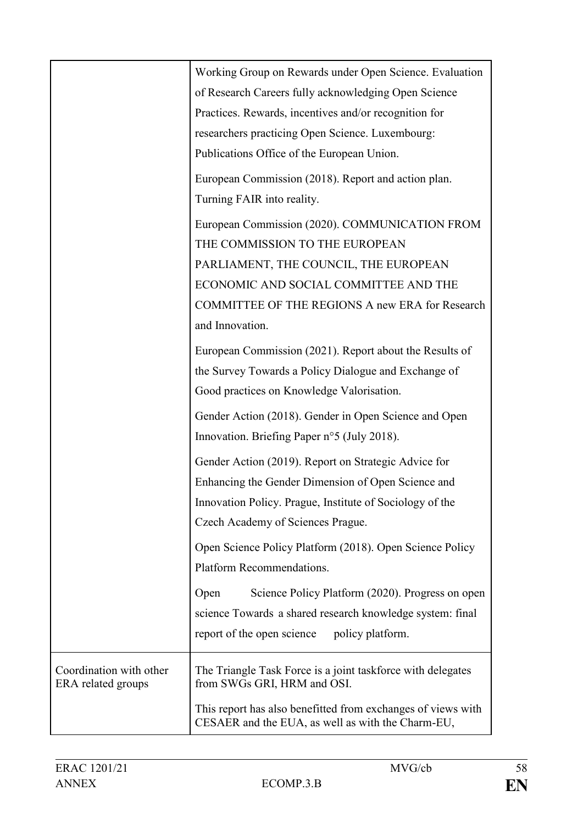|                                               | Working Group on Rewards under Open Science. Evaluation                                                           |
|-----------------------------------------------|-------------------------------------------------------------------------------------------------------------------|
|                                               | of Research Careers fully acknowledging Open Science                                                              |
|                                               | Practices. Rewards, incentives and/or recognition for                                                             |
|                                               | researchers practicing Open Science. Luxembourg:                                                                  |
|                                               | Publications Office of the European Union.                                                                        |
|                                               | European Commission (2018). Report and action plan.                                                               |
|                                               | Turning FAIR into reality.                                                                                        |
|                                               | European Commission (2020). COMMUNICATION FROM                                                                    |
|                                               | THE COMMISSION TO THE EUROPEAN                                                                                    |
|                                               | PARLIAMENT, THE COUNCIL, THE EUROPEAN                                                                             |
|                                               | ECONOMIC AND SOCIAL COMMITTEE AND THE                                                                             |
|                                               | <b>COMMITTEE OF THE REGIONS A new ERA for Research</b>                                                            |
|                                               | and Innovation.                                                                                                   |
|                                               | European Commission (2021). Report about the Results of                                                           |
|                                               | the Survey Towards a Policy Dialogue and Exchange of                                                              |
|                                               | Good practices on Knowledge Valorisation.                                                                         |
|                                               | Gender Action (2018). Gender in Open Science and Open                                                             |
|                                               | Innovation. Briefing Paper n°5 (July 2018).                                                                       |
|                                               | Gender Action (2019). Report on Strategic Advice for                                                              |
|                                               | Enhancing the Gender Dimension of Open Science and                                                                |
|                                               | Innovation Policy. Prague, Institute of Sociology of the                                                          |
|                                               | Czech Academy of Sciences Prague.                                                                                 |
|                                               | Open Science Policy Platform (2018). Open Science Policy<br>Platform Recommendations.                             |
|                                               |                                                                                                                   |
|                                               | Science Policy Platform (2020). Progress on open<br>Open                                                          |
|                                               | science Towards a shared research knowledge system: final                                                         |
|                                               | report of the open science policy platform.                                                                       |
| Coordination with other<br>ERA related groups | The Triangle Task Force is a joint taskforce with delegates<br>from SWGs GRI, HRM and OSI.                        |
|                                               | This report has also benefitted from exchanges of views with<br>CESAER and the EUA, as well as with the Charm-EU, |